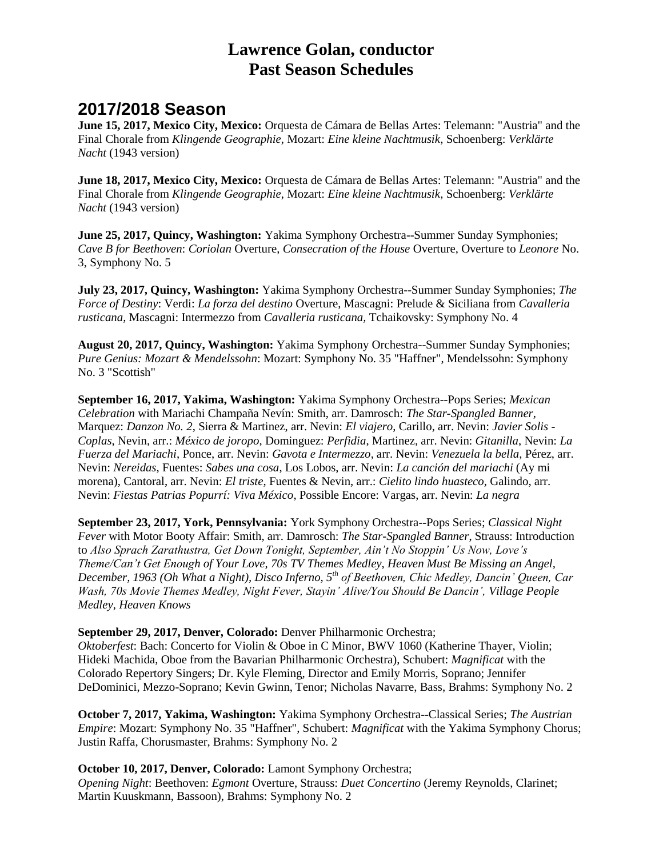# **Lawrence Golan, conductor Past Season Schedules**

# **2017/2018 Season**

**June 15, 2017, Mexico City, Mexico:** Orquesta de Cámara de Bellas Artes: Telemann: "Austria" and the Final Chorale from *Klingende Geographie*, Mozart: *Eine kleine Nachtmusik*, Schoenberg: *Verklärte Nacht* (1943 version)

**June 18, 2017, Mexico City, Mexico:** Orquesta de Cámara de Bellas Artes: Telemann: "Austria" and the Final Chorale from *Klingende Geographie*, Mozart: *Eine kleine Nachtmusik*, Schoenberg: *Verklärte Nacht* (1943 version)

**June 25, 2017, Quincy, Washington:** Yakima Symphony Orchestra--Summer Sunday Symphonies; *Cave B for Beethoven*: *Coriolan* Overture, *Consecration of the House* Overture, Overture to *Leonore* No. 3, Symphony No. 5

**July 23, 2017, Quincy, Washington:** Yakima Symphony Orchestra--Summer Sunday Symphonies; *The Force of Destiny*: Verdi: *La forza del destino* Overture, Mascagni: Prelude & Siciliana from *Cavalleria rusticana*, Mascagni: Intermezzo from *Cavalleria rusticana,* Tchaikovsky: Symphony No. 4

**August 20, 2017, Quincy, Washington:** Yakima Symphony Orchestra--Summer Sunday Symphonies; *Pure Genius: Mozart & Mendelssohn*: Mozart: Symphony No. 35 "Haffner", Mendelssohn: Symphony No. 3 "Scottish"

**September 16, 2017, Yakima, Washington:** Yakima Symphony Orchestra--Pops Series; *Mexican Celebration* with Mariachi Champaña Nevín: Smith, arr. Damrosch: *The Star-Spangled Banner*, Marquez: *Danzon No. 2*, Sierra & Martinez, arr. Nevin: *El viajero*, Carillo, arr. Nevin: *Javier Solis - Coplas*, Nevin, arr.: *México de joropo*, Dominguez: *Perfidia*, Martinez, arr. Nevin: *Gitanilla*, Nevin: *La Fuerza del Mariachi*, Ponce, arr. Nevin: *Gavota e Intermezzo*, arr. Nevin: *Venezuela la bella*, Pérez, arr. Nevin: *Nereidas*, Fuentes: *Sabes una cosa*, Los Lobos, arr. Nevin: *La canción del mariachi* (Ay mi morena), Cantoral, arr. Nevin: *El triste*, Fuentes & Nevin, arr.: *Cielito lindo huasteco*, Galindo, arr. Nevin: *Fiestas Patrias Popurrí: Viva México*, Possible Encore: Vargas, arr. Nevin: *La negra*

**September 23, 2017, York, Pennsylvania:** York Symphony Orchestra--Pops Series; *Classical Night Fever* with Motor Booty Affair: Smith, arr. Damrosch: *The Star-Spangled Banner*, Strauss: Introduction to *Also Sprach Zarathustra, Get Down Tonight, September, Ain't No Stoppin' Us Now, Love's Theme/Can't Get Enough of Your Love, 70s TV Themes Medley, Heaven Must Be Missing an Angel, December, 1963 (Oh What a Night), Disco Inferno, 5th of Beethoven, Chic Medley, Dancin' Queen, Car Wash, 70s Movie Themes Medley, Night Fever, Stayin' Alive/You Should Be Dancin', Village People Medley, Heaven Knows*

**September 29, 2017, Denver, Colorado:** Denver Philharmonic Orchestra;

*Oktoberfest*: Bach: Concerto for Violin & Oboe in C Minor, BWV 1060 (Katherine Thayer, Violin; Hideki Machida, Oboe from the Bavarian Philharmonic Orchestra), Schubert: *Magnificat* with the Colorado Repertory Singers; Dr. Kyle Fleming, Director and Emily Morris, Soprano; Jennifer DeDominici, Mezzo-Soprano; Kevin Gwinn, Tenor; Nicholas Navarre, Bass, Brahms: Symphony No. 2

**October 7, 2017, Yakima, Washington:** Yakima Symphony Orchestra--Classical Series; *The Austrian Empire*: Mozart: Symphony No. 35 "Haffner", Schubert: *Magnificat* with the Yakima Symphony Chorus; Justin Raffa, Chorusmaster, Brahms: Symphony No. 2

**October 10, 2017, Denver, Colorado:** Lamont Symphony Orchestra; *Opening Night*: Beethoven: *Egmont* Overture, Strauss: *Duet Concertino* (Jeremy Reynolds, Clarinet; Martin Kuuskmann, Bassoon), Brahms: Symphony No. 2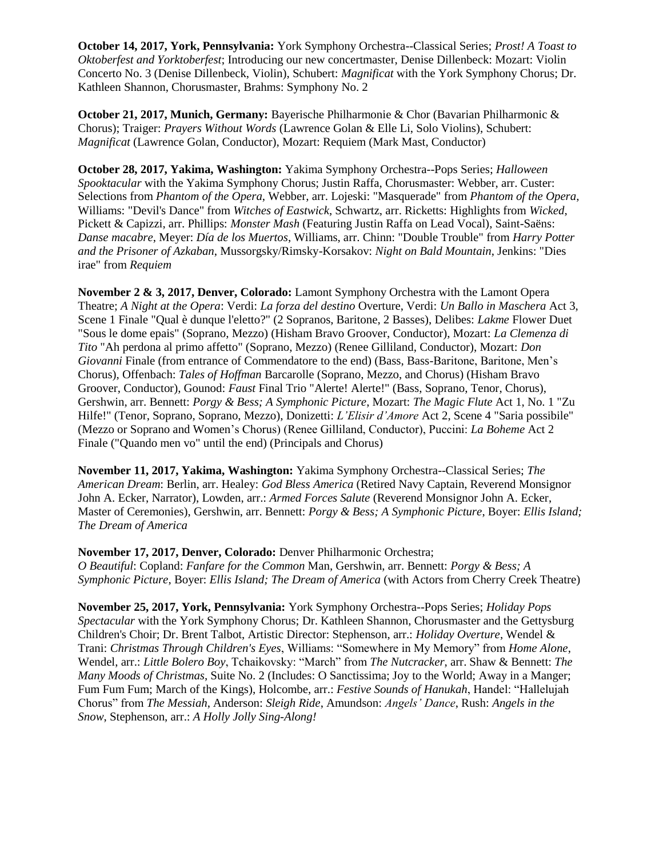**October 14, 2017, York, Pennsylvania:** York Symphony Orchestra--Classical Series; *Prost! A Toast to Oktoberfest and Yorktoberfest*; Introducing our new concertmaster, Denise Dillenbeck: Mozart: Violin Concerto No. 3 (Denise Dillenbeck, Violin), Schubert: *Magnificat* with the York Symphony Chorus; Dr. Kathleen Shannon, Chorusmaster, Brahms: Symphony No. 2

**October 21, 2017, Munich, Germany:** Bayerische Philharmonie & Chor (Bavarian Philharmonic & Chorus); Traiger: *Prayers Without Words* (Lawrence Golan & Elle Li, Solo Violins), Schubert: *Magnificat* (Lawrence Golan, Conductor), Mozart: Requiem (Mark Mast, Conductor)

**October 28, 2017, Yakima, Washington:** Yakima Symphony Orchestra--Pops Series; *Halloween Spooktacular* with the Yakima Symphony Chorus; Justin Raffa, Chorusmaster: Webber, arr. Custer: Selections from *Phantom of the Opera*, Webber, arr. Lojeski: "Masquerade" from *Phantom of the Opera*, Williams: "Devil's Dance" from *Witches of Eastwick*, Schwartz, arr. Ricketts: Highlights from *Wicked*, Pickett & Capizzi, arr. Phillips: *Monster Mash* (Featuring Justin Raffa on Lead Vocal), Saint-Saëns: *Danse macabre*, Meyer: *Día de los Muertos*, Williams, arr. Chinn: "Double Trouble" from *Harry Potter and the Prisoner of Azkaban*, Mussorgsky/Rimsky-Korsakov: *Night on Bald Mountain*, Jenkins: "Dies irae" from *Requiem*

**November 2 & 3, 2017, Denver, Colorado:** Lamont Symphony Orchestra with the Lamont Opera Theatre; *A Night at the Opera*: Verdi: *La forza del destino* Overture, Verdi: *Un Ballo in Maschera* Act 3, Scene 1 Finale "Qual è dunque l'eletto?" (2 Sopranos, Baritone, 2 Basses), Delibes: *Lakme* Flower Duet "Sous le dome epais" (Soprano, Mezzo) (Hisham Bravo Groover, Conductor), Mozart: *La Clemenza di Tito* "Ah perdona al primo affetto" (Soprano, Mezzo) (Renee Gilliland, Conductor), Mozart: *Don Giovanni* Finale (from entrance of Commendatore to the end) (Bass, Bass-Baritone, Baritone, Men's Chorus), Offenbach: *Tales of Hoffman* Barcarolle (Soprano, Mezzo, and Chorus) (Hisham Bravo Groover, Conductor), Gounod: *Faust* Final Trio "Alerte! Alerte!" (Bass, Soprano, Tenor, Chorus), Gershwin, arr. Bennett: *Porgy & Bess; A Symphonic Picture*, Mozart: *The Magic Flute* Act 1, No. 1 "Zu Hilfe!" (Tenor, Soprano, Soprano, Mezzo), Donizetti: *L'Elisir d'Amore* Act 2, Scene 4 "Saria possibile" (Mezzo or Soprano and Women's Chorus) (Renee Gilliland, Conductor), Puccini: *La Boheme* Act 2 Finale ("Quando men vo" until the end) (Principals and Chorus)

**November 11, 2017, Yakima, Washington:** Yakima Symphony Orchestra--Classical Series; *The American Dream*: Berlin, arr. Healey: *God Bless America* (Retired Navy Captain, Reverend Monsignor John A. Ecker, Narrator), Lowden, arr.: *Armed Forces Salute* (Reverend Monsignor John A. Ecker, Master of Ceremonies), Gershwin, arr. Bennett: *Porgy & Bess; A Symphonic Picture*, Boyer: *Ellis Island; The Dream of America*

#### **November 17, 2017, Denver, Colorado:** Denver Philharmonic Orchestra;

*O Beautiful*: Copland: *Fanfare for the Common* Man, Gershwin, arr. Bennett: *Porgy & Bess; A Symphonic Picture*, Boyer: *Ellis Island; The Dream of America* (with Actors from Cherry Creek Theatre)

**November 25, 2017, York, Pennsylvania:** York Symphony Orchestra--Pops Series; *Holiday Pops Spectacular* with the York Symphony Chorus; Dr. Kathleen Shannon, Chorusmaster and the Gettysburg Children's Choir; Dr. Brent Talbot, Artistic Director: Stephenson, arr.: *Holiday Overture*, Wendel & Trani: *Christmas Through Children's Eyes*, Williams: "Somewhere in My Memory" from *Home Alone*, Wendel, arr.: *Little Bolero Boy*, Tchaikovsky: "March" from *The Nutcracker*, arr. Shaw & Bennett: *The Many Moods of Christmas*, Suite No. 2 (Includes: O Sanctissima; Joy to the World; Away in a Manger; Fum Fum Fum; March of the Kings), Holcombe, arr.: *Festive Sounds of Hanukah*, Handel: "Hallelujah Chorus" from *The Messiah*, Anderson: *Sleigh Ride*, Amundson: *Angels' Dance*, Rush: *Angels in the Snow*, Stephenson, arr.: *A Holly Jolly Sing-Along!*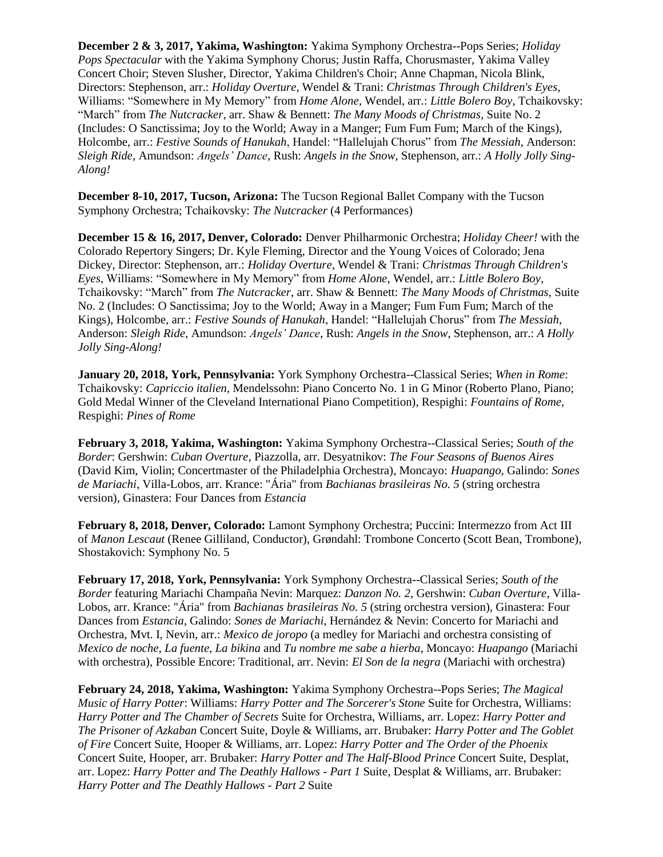**December 2 & 3, 2017, Yakima, Washington:** Yakima Symphony Orchestra--Pops Series; *Holiday Pops Spectacular* with the Yakima Symphony Chorus; Justin Raffa, Chorusmaster, Yakima Valley Concert Choir; Steven Slusher, Director, Yakima Children's Choir; Anne Chapman, Nicola Blink, Directors: Stephenson, arr.: *Holiday Overture*, Wendel & Trani: *Christmas Through Children's Eyes*, Williams: "Somewhere in My Memory" from *Home Alone*, Wendel, arr.: *Little Bolero Boy*, Tchaikovsky: "March" from *The Nutcracker*, arr. Shaw & Bennett: *The Many Moods of Christmas*, Suite No. 2 (Includes: O Sanctissima; Joy to the World; Away in a Manger; Fum Fum Fum; March of the Kings), Holcombe, arr.: *Festive Sounds of Hanukah*, Handel: "Hallelujah Chorus" from *The Messiah*, Anderson: *Sleigh Ride*, Amundson: *Angels' Dance*, Rush: *Angels in the Snow*, Stephenson, arr.: *A Holly Jolly Sing-Along!*

**December 8-10, 2017, Tucson, Arizona:** The Tucson Regional Ballet Company with the Tucson Symphony Orchestra; Tchaikovsky: *The Nutcracker* (4 Performances)

**December 15 & 16, 2017, Denver, Colorado:** Denver Philharmonic Orchestra; *Holiday Cheer!* with the Colorado Repertory Singers; Dr. Kyle Fleming, Director and the Young Voices of Colorado; Jena Dickey, Director: Stephenson, arr.: *Holiday Overture*, Wendel & Trani: *Christmas Through Children's Eyes*, Williams: "Somewhere in My Memory" from *Home Alone*, Wendel, arr.: *Little Bolero Boy*, Tchaikovsky: "March" from *The Nutcracker*, arr. Shaw & Bennett: *The Many Moods of Christmas*, Suite No. 2 (Includes: O Sanctissima; Joy to the World; Away in a Manger; Fum Fum Fum; March of the Kings), Holcombe, arr.: *Festive Sounds of Hanukah*, Handel: "Hallelujah Chorus" from *The Messiah*, Anderson: *Sleigh Ride*, Amundson: *Angels' Dance*, Rush: *Angels in the Snow*, Stephenson, arr.: *A Holly Jolly Sing-Along!*

**January 20, 2018, York, Pennsylvania:** York Symphony Orchestra--Classical Series; *When in Rome*: Tchaikovsky: *Capriccio italien,* Mendelssohn: Piano Concerto No. 1 in G Minor (Roberto Plano, Piano; Gold Medal Winner of the Cleveland International Piano Competition), Respighi: *Fountains of Rome*, Respighi: *Pines of Rome*

**February 3, 2018, Yakima, Washington:** Yakima Symphony Orchestra--Classical Series; *South of the Border*: Gershwin: *Cuban Overture*, Piazzolla, arr. Desyatnikov: *The Four Seasons of Buenos Aires* (David Kim, Violin; Concertmaster of the Philadelphia Orchestra), Moncayo: *Huapango*, Galindo: *Sones de Mariachi*, Villa-Lobos, arr. Krance: "Ária" from *Bachianas brasileiras No. 5* (string orchestra version), Ginastera: Four Dances from *Estancia*

**February 8, 2018, Denver, Colorado:** Lamont Symphony Orchestra; Puccini: Intermezzo from Act III of *Manon Lescaut* (Renee Gilliland, Conductor), Grøndahl: Trombone Concerto (Scott Bean, Trombone), Shostakovich: Symphony No. 5

**February 17, 2018, York, Pennsylvania:** York Symphony Orchestra--Classical Series; *South of the Border* featuring Mariachi Champaña Nevin: Marquez: *Danzon No. 2*, Gershwin: *Cuban Overture*, Villa-Lobos, arr. Krance: "Ária" from *Bachianas brasileiras No. 5* (string orchestra version), Ginastera: Four Dances from *Estancia*, Galindo: *Sones de Mariachi*, Hernández & Nevin: Concerto for Mariachi and Orchestra, Mvt. I, Nevin, arr.: *Mexico de joropo* (a medley for Mariachi and orchestra consisting of *Mexico de noche, La fuente, La bikina* and *Tu nombre me sabe a hierba*, Moncayo: *Huapango* (Mariachi with orchestra), Possible Encore: Traditional, arr. Nevin: *El Son de la negra* (Mariachi with orchestra)

**February 24, 2018, Yakima, Washington:** Yakima Symphony Orchestra--Pops Series; *The Magical Music of Harry Potter*: Williams: *Harry Potter and The Sorcerer's Stone* Suite for Orchestra, Williams: *Harry Potter and The Chamber of Secrets* Suite for Orchestra, Williams, arr. Lopez: *Harry Potter and The Prisoner of Azkaban* Concert Suite, Doyle & Williams, arr. Brubaker: *Harry Potter and The Goblet of Fire* Concert Suite, Hooper & Williams, arr. Lopez: *Harry Potter and The Order of the Phoenix* Concert Suite, Hooper, arr. Brubaker: *Harry Potter and The Half-Blood Prince* Concert Suite, Desplat, arr. Lopez: *Harry Potter and The Deathly Hallows - Part 1* Suite, Desplat & Williams, arr. Brubaker: *Harry Potter and The Deathly Hallows - Part 2* Suite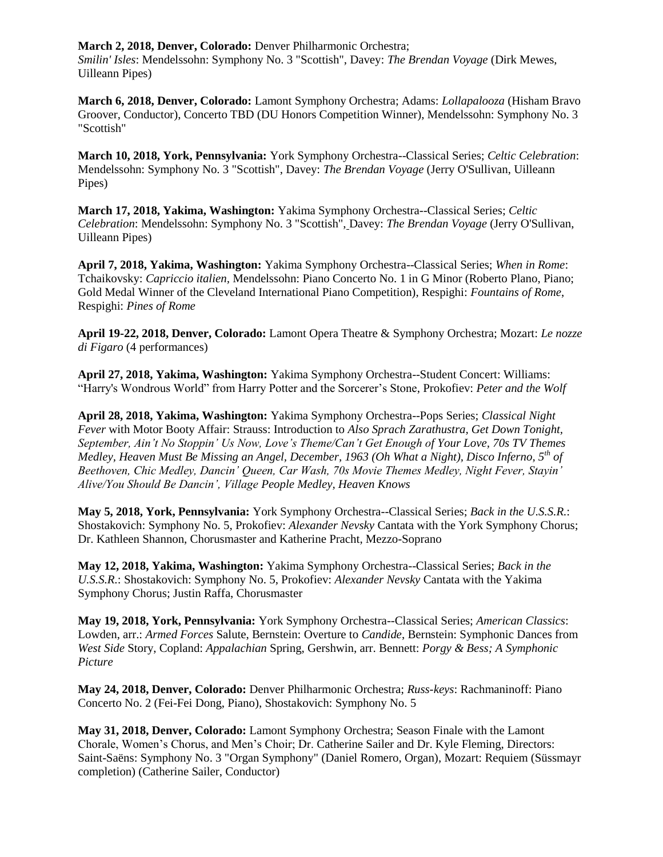**March 2, 2018, Denver, Colorado:** Denver Philharmonic Orchestra;

*Smilin' Isles*: Mendelssohn: Symphony No. 3 "Scottish", Davey: *The Brendan Voyage* (Dirk Mewes, Uilleann Pipes)

**March 6, 2018, Denver, Colorado:** Lamont Symphony Orchestra; Adams: *Lollapalooza* (Hisham Bravo Groover, Conductor), Concerto TBD (DU Honors Competition Winner), Mendelssohn: Symphony No. 3 "Scottish"

**March 10, 2018, York, Pennsylvania:** York Symphony Orchestra--Classical Series; *Celtic Celebration*: Mendelssohn: Symphony No. 3 "Scottish", Davey: *The Brendan Voyage* (Jerry O'Sullivan, Uilleann Pipes)

**March 17, 2018, Yakima, Washington:** Yakima Symphony Orchestra--Classical Series; *Celtic Celebration*: Mendelssohn: Symphony No. 3 "Scottish", Davey: *The Brendan Voyage* (Jerry O'Sullivan, Uilleann Pipes)

**April 7, 2018, Yakima, Washington:** Yakima Symphony Orchestra--Classical Series; *When in Rome*: Tchaikovsky: *Capriccio italien,* Mendelssohn: Piano Concerto No. 1 in G Minor (Roberto Plano, Piano; Gold Medal Winner of the Cleveland International Piano Competition), Respighi: *Fountains of Rome*, Respighi: *Pines of Rome*

**April 19-22, 2018, Denver, Colorado:** Lamont Opera Theatre & Symphony Orchestra; Mozart: *Le nozze di Figaro* (4 performances)

**April 27, 2018, Yakima, Washington:** Yakima Symphony Orchestra--Student Concert: Williams: "Harry's Wondrous World" from Harry Potter and the Sorcerer's Stone, Prokofiev: *Peter and the Wolf*

**April 28, 2018, Yakima, Washington:** Yakima Symphony Orchestra--Pops Series; *Classical Night Fever* with Motor Booty Affair: Strauss: Introduction to *Also Sprach Zarathustra, Get Down Tonight, September, Ain't No Stoppin' Us Now, Love's Theme/Can't Get Enough of Your Love, 70s TV Themes Medley, Heaven Must Be Missing an Angel, December, 1963 (Oh What a Night), Disco Inferno, 5th of Beethoven, Chic Medley, Dancin' Queen, Car Wash, 70s Movie Themes Medley, Night Fever, Stayin' Alive/You Should Be Dancin', Village People Medley, Heaven Knows*

**May 5, 2018, York, Pennsylvania:** York Symphony Orchestra--Classical Series; *Back in the U.S.S.R.*: Shostakovich: Symphony No. 5, Prokofiev: *Alexander Nevsky* Cantata with the York Symphony Chorus; Dr. Kathleen Shannon, Chorusmaster and Katherine Pracht, Mezzo-Soprano

**May 12, 2018, Yakima, Washington:** Yakima Symphony Orchestra--Classical Series; *Back in the U.S.S.R.*: Shostakovich: Symphony No. 5, Prokofiev: *Alexander Nevsky* Cantata with the Yakima Symphony Chorus; Justin Raffa, Chorusmaster

**May 19, 2018, York, Pennsylvania:** York Symphony Orchestra--Classical Series; *American Classics*: Lowden, arr.: *Armed Forces* Salute, Bernstein: Overture to *Candide*, Bernstein: Symphonic Dances from *West Side* Story, Copland: *Appalachian* Spring, Gershwin, arr. Bennett: *Porgy & Bess; A Symphonic Picture*

**May 24, 2018, Denver, Colorado:** Denver Philharmonic Orchestra; *Russ-keys*: Rachmaninoff: Piano Concerto No. 2 (Fei-Fei Dong, Piano), Shostakovich: Symphony No. 5

**May 31, 2018, Denver, Colorado:** Lamont Symphony Orchestra; Season Finale with the Lamont Chorale, Women's Chorus, and Men's Choir; Dr. Catherine Sailer and Dr. Kyle Fleming, Directors: Saint-Saëns: Symphony No. 3 "Organ Symphony" (Daniel Romero, Organ), Mozart: Requiem (Süssmayr completion) (Catherine Sailer, Conductor)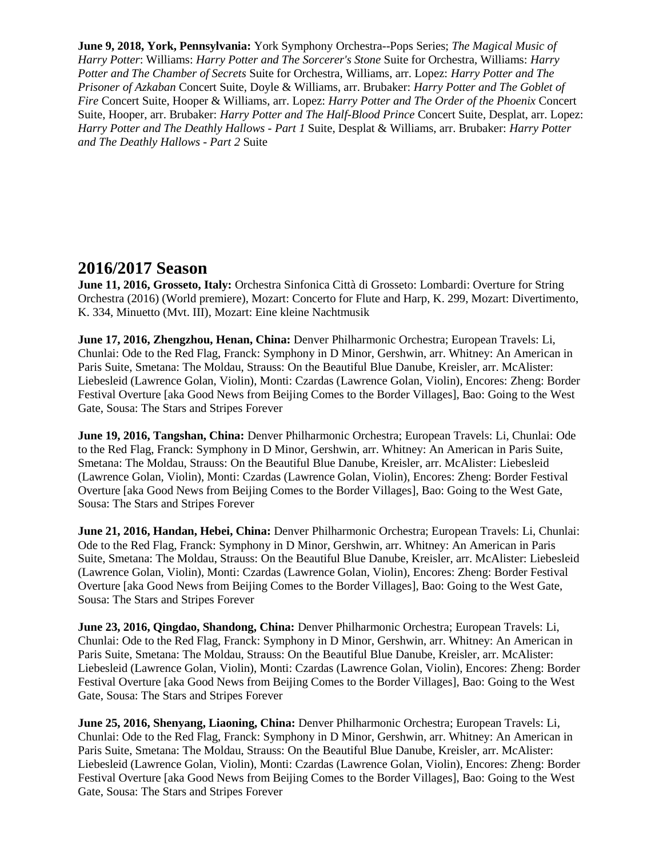**June 9, 2018, York, Pennsylvania:** York Symphony Orchestra--Pops Series; *The Magical Music of Harry Potter*: Williams: *Harry Potter and The Sorcerer's Stone* Suite for Orchestra, Williams: *Harry Potter and The Chamber of Secrets* Suite for Orchestra, Williams, arr. Lopez: *Harry Potter and The Prisoner of Azkaban* Concert Suite, Doyle & Williams, arr. Brubaker: *Harry Potter and The Goblet of Fire* Concert Suite, Hooper & Williams, arr. Lopez: *Harry Potter and The Order of the Phoenix* Concert Suite, Hooper, arr. Brubaker: *Harry Potter and The Half-Blood Prince* Concert Suite, Desplat, arr. Lopez: *Harry Potter and The Deathly Hallows - Part 1* Suite, Desplat & Williams, arr. Brubaker: *Harry Potter and The Deathly Hallows - Part 2* Suite

### **2016/2017 Season**

**June 11, 2016, Grosseto, Italy:** Orchestra Sinfonica Città di Grosseto: Lombardi: Overture for String Orchestra (2016) (World premiere), Mozart: Concerto for Flute and Harp, K. 299, Mozart: Divertimento, K. 334, Minuetto (Mvt. III), Mozart: Eine kleine Nachtmusik

**June 17, 2016, Zhengzhou, Henan, China:** Denver Philharmonic Orchestra; European Travels: Li, Chunlai: Ode to the Red Flag, Franck: Symphony in D Minor, Gershwin, arr. Whitney: An American in Paris Suite, Smetana: The Moldau, Strauss: On the Beautiful Blue Danube, Kreisler, arr. McAlister: Liebesleid (Lawrence Golan, Violin), Monti: Czardas (Lawrence Golan, Violin), Encores: Zheng: Border Festival Overture [aka Good News from Beijing Comes to the Border Villages], Bao: Going to the West Gate, Sousa: The Stars and Stripes Forever

**June 19, 2016, Tangshan, China:** Denver Philharmonic Orchestra; European Travels: Li, Chunlai: Ode to the Red Flag, Franck: Symphony in D Minor, Gershwin, arr. Whitney: An American in Paris Suite, Smetana: The Moldau, Strauss: On the Beautiful Blue Danube, Kreisler, arr. McAlister: Liebesleid (Lawrence Golan, Violin), Monti: Czardas (Lawrence Golan, Violin), Encores: Zheng: Border Festival Overture [aka Good News from Beijing Comes to the Border Villages], Bao: Going to the West Gate, Sousa: The Stars and Stripes Forever

**June 21, 2016, Handan, Hebei, China:** Denver Philharmonic Orchestra; European Travels: Li, Chunlai: Ode to the Red Flag, Franck: Symphony in D Minor, Gershwin, arr. Whitney: An American in Paris Suite, Smetana: The Moldau, Strauss: On the Beautiful Blue Danube, Kreisler, arr. McAlister: Liebesleid (Lawrence Golan, Violin), Monti: Czardas (Lawrence Golan, Violin), Encores: Zheng: Border Festival Overture [aka Good News from Beijing Comes to the Border Villages], Bao: Going to the West Gate, Sousa: The Stars and Stripes Forever

**June 23, 2016, Qingdao, Shandong, China:** Denver Philharmonic Orchestra; European Travels: Li, Chunlai: Ode to the Red Flag, Franck: Symphony in D Minor, Gershwin, arr. Whitney: An American in Paris Suite, Smetana: The Moldau, Strauss: On the Beautiful Blue Danube, Kreisler, arr. McAlister: Liebesleid (Lawrence Golan, Violin), Monti: Czardas (Lawrence Golan, Violin), Encores: Zheng: Border Festival Overture [aka Good News from Beijing Comes to the Border Villages], Bao: Going to the West Gate, Sousa: The Stars and Stripes Forever

**June 25, 2016, Shenyang, Liaoning, China:** Denver Philharmonic Orchestra; European Travels: Li, Chunlai: Ode to the Red Flag, Franck: Symphony in D Minor, Gershwin, arr. Whitney: An American in Paris Suite, Smetana: The Moldau, Strauss: On the Beautiful Blue Danube, Kreisler, arr. McAlister: Liebesleid (Lawrence Golan, Violin), Monti: Czardas (Lawrence Golan, Violin), Encores: Zheng: Border Festival Overture [aka Good News from Beijing Comes to the Border Villages], Bao: Going to the West Gate, Sousa: The Stars and Stripes Forever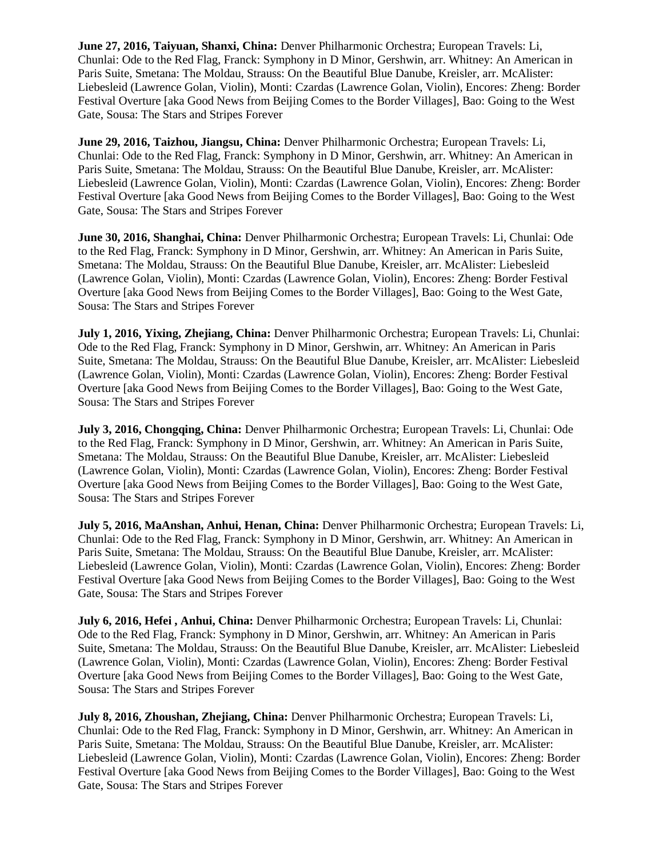**June 27, 2016, Taiyuan, Shanxi, China:** Denver Philharmonic Orchestra; European Travels: Li, Chunlai: Ode to the Red Flag, Franck: Symphony in D Minor, Gershwin, arr. Whitney: An American in Paris Suite, Smetana: The Moldau, Strauss: On the Beautiful Blue Danube, Kreisler, arr. McAlister: Liebesleid (Lawrence Golan, Violin), Monti: Czardas (Lawrence Golan, Violin), Encores: Zheng: Border Festival Overture [aka Good News from Beijing Comes to the Border Villages], Bao: Going to the West Gate, Sousa: The Stars and Stripes Forever

**June 29, 2016, Taizhou, Jiangsu, China:** Denver Philharmonic Orchestra; European Travels: Li, Chunlai: Ode to the Red Flag, Franck: Symphony in D Minor, Gershwin, arr. Whitney: An American in Paris Suite, Smetana: The Moldau, Strauss: On the Beautiful Blue Danube, Kreisler, arr. McAlister: Liebesleid (Lawrence Golan, Violin), Monti: Czardas (Lawrence Golan, Violin), Encores: Zheng: Border Festival Overture [aka Good News from Beijing Comes to the Border Villages], Bao: Going to the West Gate, Sousa: The Stars and Stripes Forever

**June 30, 2016, Shanghai, China:** Denver Philharmonic Orchestra; European Travels: Li, Chunlai: Ode to the Red Flag, Franck: Symphony in D Minor, Gershwin, arr. Whitney: An American in Paris Suite, Smetana: The Moldau, Strauss: On the Beautiful Blue Danube, Kreisler, arr. McAlister: Liebesleid (Lawrence Golan, Violin), Monti: Czardas (Lawrence Golan, Violin), Encores: Zheng: Border Festival Overture [aka Good News from Beijing Comes to the Border Villages], Bao: Going to the West Gate, Sousa: The Stars and Stripes Forever

**July 1, 2016, Yixing, Zhejiang, China:** Denver Philharmonic Orchestra; European Travels: Li, Chunlai: Ode to the Red Flag, Franck: Symphony in D Minor, Gershwin, arr. Whitney: An American in Paris Suite, Smetana: The Moldau, Strauss: On the Beautiful Blue Danube, Kreisler, arr. McAlister: Liebesleid (Lawrence Golan, Violin), Monti: Czardas (Lawrence Golan, Violin), Encores: Zheng: Border Festival Overture [aka Good News from Beijing Comes to the Border Villages], Bao: Going to the West Gate, Sousa: The Stars and Stripes Forever

**July 3, 2016, Chongqing, China:** Denver Philharmonic Orchestra; European Travels: Li, Chunlai: Ode to the Red Flag, Franck: Symphony in D Minor, Gershwin, arr. Whitney: An American in Paris Suite, Smetana: The Moldau, Strauss: On the Beautiful Blue Danube, Kreisler, arr. McAlister: Liebesleid (Lawrence Golan, Violin), Monti: Czardas (Lawrence Golan, Violin), Encores: Zheng: Border Festival Overture [aka Good News from Beijing Comes to the Border Villages], Bao: Going to the West Gate, Sousa: The Stars and Stripes Forever

**July 5, 2016, MaAnshan, Anhui, Henan, China:** Denver Philharmonic Orchestra; European Travels: Li, Chunlai: Ode to the Red Flag, Franck: Symphony in D Minor, Gershwin, arr. Whitney: An American in Paris Suite, Smetana: The Moldau, Strauss: On the Beautiful Blue Danube, Kreisler, arr. McAlister: Liebesleid (Lawrence Golan, Violin), Monti: Czardas (Lawrence Golan, Violin), Encores: Zheng: Border Festival Overture [aka Good News from Beijing Comes to the Border Villages], Bao: Going to the West Gate, Sousa: The Stars and Stripes Forever

**July 6, 2016, Hefei , Anhui, China:** Denver Philharmonic Orchestra; European Travels: Li, Chunlai: Ode to the Red Flag, Franck: Symphony in D Minor, Gershwin, arr. Whitney: An American in Paris Suite, Smetana: The Moldau, Strauss: On the Beautiful Blue Danube, Kreisler, arr. McAlister: Liebesleid (Lawrence Golan, Violin), Monti: Czardas (Lawrence Golan, Violin), Encores: Zheng: Border Festival Overture [aka Good News from Beijing Comes to the Border Villages], Bao: Going to the West Gate, Sousa: The Stars and Stripes Forever

**July 8, 2016, Zhoushan, Zhejiang, China:** Denver Philharmonic Orchestra; European Travels: Li, Chunlai: Ode to the Red Flag, Franck: Symphony in D Minor, Gershwin, arr. Whitney: An American in Paris Suite, Smetana: The Moldau, Strauss: On the Beautiful Blue Danube, Kreisler, arr. McAlister: Liebesleid (Lawrence Golan, Violin), Monti: Czardas (Lawrence Golan, Violin), Encores: Zheng: Border Festival Overture [aka Good News from Beijing Comes to the Border Villages], Bao: Going to the West Gate, Sousa: The Stars and Stripes Forever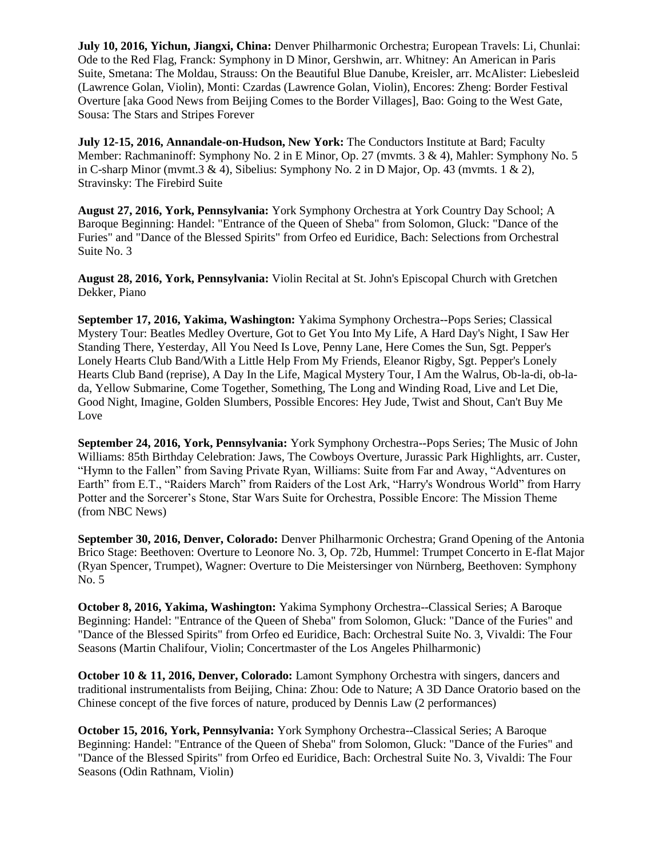**July 10, 2016, Yichun, Jiangxi, China:** Denver Philharmonic Orchestra; European Travels: Li, Chunlai: Ode to the Red Flag, Franck: Symphony in D Minor, Gershwin, arr. Whitney: An American in Paris Suite, Smetana: The Moldau, Strauss: On the Beautiful Blue Danube, Kreisler, arr. McAlister: Liebesleid (Lawrence Golan, Violin), Monti: Czardas (Lawrence Golan, Violin), Encores: Zheng: Border Festival Overture [aka Good News from Beijing Comes to the Border Villages], Bao: Going to the West Gate, Sousa: The Stars and Stripes Forever

**July 12-15, 2016, Annandale-on-Hudson, New York:** The Conductors Institute at Bard; Faculty Member: Rachmaninoff: Symphony No. 2 in E Minor, Op. 27 (mvmts. 3 & 4), Mahler: Symphony No. 5 in C-sharp Minor (mvmt.  $3 \& 4$ ), Sibelius: Symphony No. 2 in D Major, Op. 43 (mvmts. 1  $\& 2$ ), Stravinsky: The Firebird Suite

**August 27, 2016, York, Pennsylvania:** York Symphony Orchestra at York Country Day School; A Baroque Beginning: Handel: "Entrance of the Queen of Sheba" from Solomon, Gluck: "Dance of the Furies" and "Dance of the Blessed Spirits" from Orfeo ed Euridice, Bach: Selections from Orchestral Suite No. 3

**August 28, 2016, York, Pennsylvania:** Violin Recital at St. John's Episcopal Church with Gretchen Dekker, Piano

**September 17, 2016, Yakima, Washington:** Yakima Symphony Orchestra--Pops Series; Classical Mystery Tour: Beatles Medley Overture, Got to Get You Into My Life, A Hard Day's Night, I Saw Her Standing There, Yesterday, All You Need Is Love, Penny Lane, Here Comes the Sun, Sgt. Pepper's Lonely Hearts Club Band/With a Little Help From My Friends, Eleanor Rigby, Sgt. Pepper's Lonely Hearts Club Band (reprise), A Day In the Life, Magical Mystery Tour, I Am the Walrus, Ob-la-di, ob-lada, Yellow Submarine, Come Together, Something, The Long and Winding Road, Live and Let Die, Good Night, Imagine, Golden Slumbers, Possible Encores: Hey Jude, Twist and Shout, Can't Buy Me Love

**September 24, 2016, York, Pennsylvania:** York Symphony Orchestra--Pops Series; The Music of John Williams: 85th Birthday Celebration: Jaws, The Cowboys Overture, Jurassic Park Highlights, arr. Custer, "Hymn to the Fallen" from Saving Private Ryan, Williams: Suite from Far and Away, "Adventures on Earth" from E.T., "Raiders March" from Raiders of the Lost Ark, "Harry's Wondrous World" from Harry Potter and the Sorcerer's Stone, Star Wars Suite for Orchestra, Possible Encore: The Mission Theme (from NBC News)

**September 30, 2016, Denver, Colorado:** Denver Philharmonic Orchestra; Grand Opening of the Antonia Brico Stage: Beethoven: Overture to Leonore No. 3, Op. 72b, Hummel: Trumpet Concerto in E-flat Major (Ryan Spencer, Trumpet), Wagner: Overture to Die Meistersinger von Nürnberg, Beethoven: Symphony No. 5

**October 8, 2016, Yakima, Washington:** Yakima Symphony Orchestra--Classical Series; A Baroque Beginning: Handel: "Entrance of the Queen of Sheba" from Solomon, Gluck: "Dance of the Furies" and "Dance of the Blessed Spirits" from Orfeo ed Euridice, Bach: Orchestral Suite No. 3, Vivaldi: The Four Seasons (Martin Chalifour, Violin; Concertmaster of the Los Angeles Philharmonic)

**October 10 & 11, 2016, Denver, Colorado:** Lamont Symphony Orchestra with singers, dancers and traditional instrumentalists from Beijing, China: Zhou: Ode to Nature; A 3D Dance Oratorio based on the Chinese concept of the five forces of nature, produced by Dennis Law (2 performances)

**October 15, 2016, York, Pennsylvania:** York Symphony Orchestra--Classical Series; A Baroque Beginning: Handel: "Entrance of the Queen of Sheba" from Solomon, Gluck: "Dance of the Furies" and "Dance of the Blessed Spirits" from Orfeo ed Euridice, Bach: Orchestral Suite No. 3, Vivaldi: The Four Seasons (Odin Rathnam, Violin)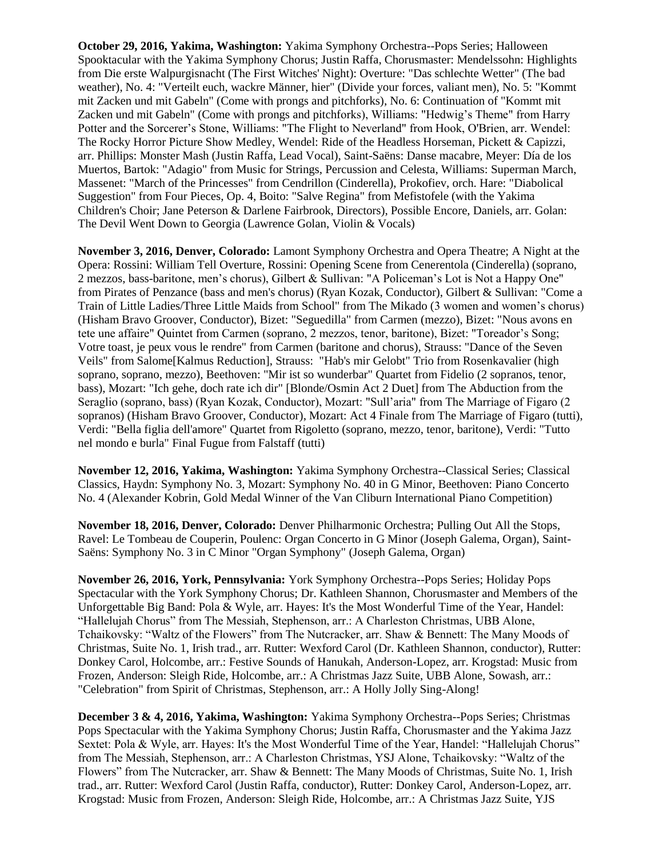**October 29, 2016, Yakima, Washington:** Yakima Symphony Orchestra--Pops Series; Halloween Spooktacular with the Yakima Symphony Chorus; Justin Raffa, Chorusmaster: Mendelssohn: Highlights from Die erste Walpurgisnacht (The First Witches' Night): Overture: "Das schlechte Wetter" (The bad weather), No. 4: "Verteilt euch, wackre Männer, hier" (Divide your forces, valiant men), No. 5: "Kommt mit Zacken und mit Gabeln" (Come with prongs and pitchforks), No. 6: Continuation of "Kommt mit Zacken und mit Gabeln" (Come with prongs and pitchforks), Williams: "Hedwig's Theme" from Harry Potter and the Sorcerer's Stone, Williams: "The Flight to Neverland" from Hook, O'Brien, arr. Wendel: The Rocky Horror Picture Show Medley, Wendel: Ride of the Headless Horseman, Pickett & Capizzi, arr. Phillips: Monster Mash (Justin Raffa, Lead Vocal), Saint-Saëns: Danse macabre, Meyer: Día de los Muertos, Bartok: "Adagio" from Music for Strings, Percussion and Celesta, Williams: Superman March, Massenet: "March of the Princesses" from Cendrillon (Cinderella), Prokofiev, orch. Hare: "Diabolical Suggestion" from Four Pieces, Op. 4, Boito: "Salve Regina" from Mefistofele (with the Yakima Children's Choir; Jane Peterson & Darlene Fairbrook, Directors), Possible Encore, Daniels, arr. Golan: The Devil Went Down to Georgia (Lawrence Golan, Violin & Vocals)

**November 3, 2016, Denver, Colorado:** Lamont Symphony Orchestra and Opera Theatre; A Night at the Opera: Rossini: William Tell Overture, Rossini: Opening Scene from Cenerentola (Cinderella) (soprano, 2 mezzos, bass-baritone, men's chorus), Gilbert & Sullivan: "A Policeman's Lot is Not a Happy One" from Pirates of Penzance (bass and men's chorus) (Ryan Kozak, Conductor), Gilbert & Sullivan: "Come a Train of Little Ladies/Three Little Maids from School" from The Mikado (3 women and women's chorus) (Hisham Bravo Groover, Conductor), Bizet: "Seguedilla" from Carmen (mezzo), Bizet: "Nous avons en tete une affaire" Quintet from Carmen (soprano, 2 mezzos, tenor, baritone), Bizet: "Toreador's Song; Votre toast, je peux vous le rendre" from Carmen (baritone and chorus), Strauss: "Dance of the Seven Veils" from Salome[Kalmus Reduction], Strauss: "Hab's mir Gelobt" Trio from Rosenkavalier (high soprano, soprano, mezzo), Beethoven: "Mir ist so wunderbar" Quartet from Fidelio (2 sopranos, tenor, bass), Mozart: "Ich gehe, doch rate ich dir" [Blonde/Osmin Act 2 Duet] from The Abduction from the Seraglio (soprano, bass) (Ryan Kozak, Conductor), Mozart: "Sull'aria" from The Marriage of Figaro (2 sopranos) (Hisham Bravo Groover, Conductor), Mozart: Act 4 Finale from The Marriage of Figaro (tutti), Verdi: "Bella figlia dell'amore" Quartet from Rigoletto (soprano, mezzo, tenor, baritone), Verdi: "Tutto nel mondo e burla" Final Fugue from Falstaff (tutti)

**November 12, 2016, Yakima, Washington:** Yakima Symphony Orchestra--Classical Series; Classical Classics, Haydn: Symphony No. 3, Mozart: Symphony No. 40 in G Minor, Beethoven: Piano Concerto No. 4 (Alexander Kobrin, Gold Medal Winner of the Van Cliburn International Piano Competition)

**November 18, 2016, Denver, Colorado:** Denver Philharmonic Orchestra; Pulling Out All the Stops, Ravel: Le Tombeau de Couperin, Poulenc: Organ Concerto in G Minor (Joseph Galema, Organ), Saint-Saëns: Symphony No. 3 in C Minor "Organ Symphony" (Joseph Galema, Organ)

**November 26, 2016, York, Pennsylvania:** York Symphony Orchestra--Pops Series; Holiday Pops Spectacular with the York Symphony Chorus; Dr. Kathleen Shannon, Chorusmaster and Members of the Unforgettable Big Band: Pola & Wyle, arr. Hayes: It's the Most Wonderful Time of the Year, Handel: "Hallelujah Chorus" from The Messiah, Stephenson, arr.: A Charleston Christmas, UBB Alone, Tchaikovsky: "Waltz of the Flowers" from The Nutcracker, arr. Shaw & Bennett: The Many Moods of Christmas, Suite No. 1, Irish trad., arr. Rutter: Wexford Carol (Dr. Kathleen Shannon, conductor), Rutter: Donkey Carol, Holcombe, arr.: Festive Sounds of Hanukah, Anderson-Lopez, arr. Krogstad: Music from Frozen, Anderson: Sleigh Ride, Holcombe, arr.: A Christmas Jazz Suite, UBB Alone, Sowash, arr.: "Celebration" from Spirit of Christmas, Stephenson, arr.: A Holly Jolly Sing-Along!

**December 3 & 4, 2016, Yakima, Washington:** Yakima Symphony Orchestra--Pops Series; Christmas Pops Spectacular with the Yakima Symphony Chorus; Justin Raffa, Chorusmaster and the Yakima Jazz Sextet: Pola & Wyle, arr. Hayes: It's the Most Wonderful Time of the Year, Handel: "Hallelujah Chorus" from The Messiah, Stephenson, arr.: A Charleston Christmas, YSJ Alone, Tchaikovsky: "Waltz of the Flowers" from The Nutcracker, arr. Shaw & Bennett: The Many Moods of Christmas, Suite No. 1, Irish trad., arr. Rutter: Wexford Carol (Justin Raffa, conductor), Rutter: Donkey Carol, Anderson-Lopez, arr. Krogstad: Music from Frozen, Anderson: Sleigh Ride, Holcombe, arr.: A Christmas Jazz Suite, YJS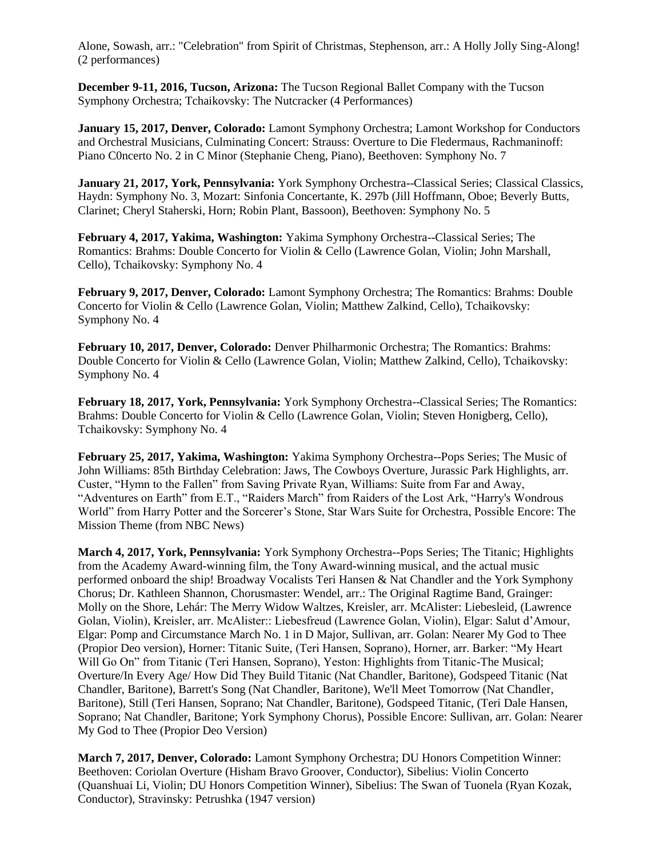Alone, Sowash, arr.: "Celebration" from Spirit of Christmas, Stephenson, arr.: A Holly Jolly Sing-Along! (2 performances)

**December 9-11, 2016, Tucson, Arizona:** The Tucson Regional Ballet Company with the Tucson Symphony Orchestra; Tchaikovsky: The Nutcracker (4 Performances)

**January 15, 2017, Denver, Colorado:** Lamont Symphony Orchestra; Lamont Workshop for Conductors and Orchestral Musicians, Culminating Concert: Strauss: Overture to Die Fledermaus, Rachmaninoff: Piano C0ncerto No. 2 in C Minor (Stephanie Cheng, Piano), Beethoven: Symphony No. 7

**January 21, 2017, York, Pennsylvania:** York Symphony Orchestra--Classical Series; Classical Classics, Haydn: Symphony No. 3, Mozart: Sinfonia Concertante, K. 297b (Jill Hoffmann, Oboe; Beverly Butts, Clarinet; Cheryl Staherski, Horn; Robin Plant, Bassoon), Beethoven: Symphony No. 5

**February 4, 2017, Yakima, Washington:** Yakima Symphony Orchestra--Classical Series; The Romantics: Brahms: Double Concerto for Violin & Cello (Lawrence Golan, Violin; John Marshall, Cello), Tchaikovsky: Symphony No. 4

**February 9, 2017, Denver, Colorado:** Lamont Symphony Orchestra; The Romantics: Brahms: Double Concerto for Violin & Cello (Lawrence Golan, Violin; Matthew Zalkind, Cello), Tchaikovsky: Symphony No. 4

**February 10, 2017, Denver, Colorado:** Denver Philharmonic Orchestra; The Romantics: Brahms: Double Concerto for Violin & Cello (Lawrence Golan, Violin; Matthew Zalkind, Cello), Tchaikovsky: Symphony No. 4

**February 18, 2017, York, Pennsylvania:** York Symphony Orchestra--Classical Series; The Romantics: Brahms: Double Concerto for Violin & Cello (Lawrence Golan, Violin; Steven Honigberg, Cello), Tchaikovsky: Symphony No. 4

**February 25, 2017, Yakima, Washington:** Yakima Symphony Orchestra--Pops Series; The Music of John Williams: 85th Birthday Celebration: Jaws, The Cowboys Overture, Jurassic Park Highlights, arr. Custer, "Hymn to the Fallen" from Saving Private Ryan, Williams: Suite from Far and Away, "Adventures on Earth" from E.T., "Raiders March" from Raiders of the Lost Ark, "Harry's Wondrous World" from Harry Potter and the Sorcerer's Stone, Star Wars Suite for Orchestra, Possible Encore: The Mission Theme (from NBC News)

**March 4, 2017, York, Pennsylvania:** York Symphony Orchestra--Pops Series; The Titanic; Highlights from the Academy Award-winning film, the Tony Award-winning musical, and the actual music performed onboard the ship! Broadway Vocalists Teri Hansen & Nat Chandler and the York Symphony Chorus; Dr. Kathleen Shannon, Chorusmaster: Wendel, arr.: The Original Ragtime Band, Grainger: Molly on the Shore, Lehár: The Merry Widow Waltzes, Kreisler, arr. McAlister: Liebesleid, (Lawrence Golan, Violin), Kreisler, arr. McAlister:: Liebesfreud (Lawrence Golan, Violin), Elgar: Salut d'Amour, Elgar: Pomp and Circumstance March No. 1 in D Major, Sullivan, arr. Golan: Nearer My God to Thee (Propior Deo version), Horner: Titanic Suite, (Teri Hansen, Soprano), Horner, arr. Barker: "My Heart Will Go On" from Titanic (Teri Hansen, Soprano), Yeston: Highlights from Titanic-The Musical; Overture/In Every Age/ How Did They Build Titanic (Nat Chandler, Baritone), Godspeed Titanic (Nat Chandler, Baritone), Barrett's Song (Nat Chandler, Baritone), We'll Meet Tomorrow (Nat Chandler, Baritone), Still (Teri Hansen, Soprano; Nat Chandler, Baritone), Godspeed Titanic, (Teri Dale Hansen, Soprano; Nat Chandler, Baritone; York Symphony Chorus), Possible Encore: Sullivan, arr. Golan: Nearer My God to Thee (Propior Deo Version)

**March 7, 2017, Denver, Colorado:** Lamont Symphony Orchestra; DU Honors Competition Winner: Beethoven: Coriolan Overture (Hisham Bravo Groover, Conductor), Sibelius: Violin Concerto (Quanshuai Li, Violin; DU Honors Competition Winner), Sibelius: The Swan of Tuonela (Ryan Kozak, Conductor), Stravinsky: Petrushka (1947 version)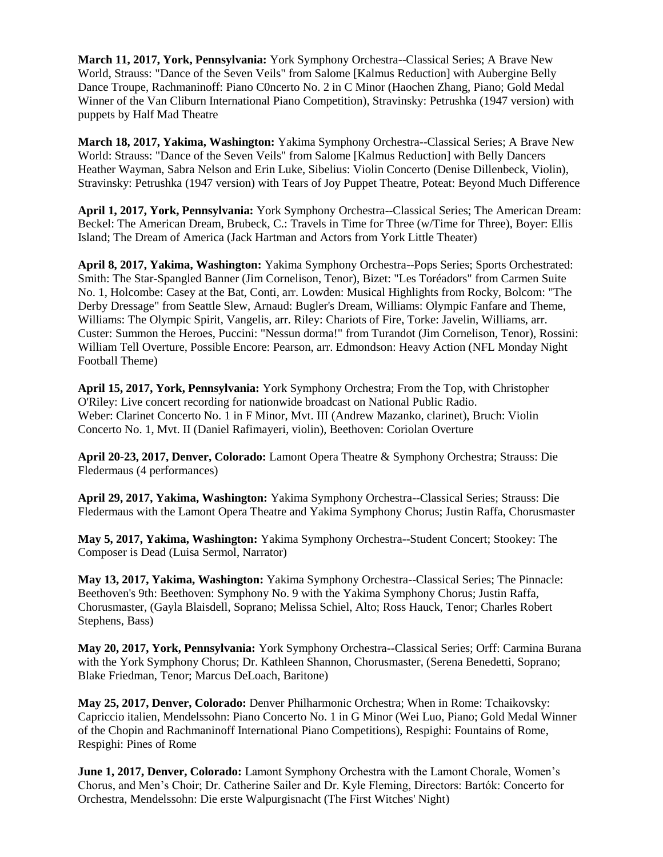**March 11, 2017, York, Pennsylvania:** York Symphony Orchestra--Classical Series; A Brave New World, Strauss: "Dance of the Seven Veils" from Salome [Kalmus Reduction] with Aubergine Belly Dance Troupe, Rachmaninoff: Piano C0ncerto No. 2 in C Minor (Haochen Zhang, Piano; Gold Medal Winner of the Van Cliburn International Piano Competition), Stravinsky: Petrushka (1947 version) with puppets by Half Mad Theatre

**March 18, 2017, Yakima, Washington:** Yakima Symphony Orchestra--Classical Series; A Brave New World: Strauss: "Dance of the Seven Veils" from Salome [Kalmus Reduction] with Belly Dancers Heather Wayman, Sabra Nelson and Erin Luke, Sibelius: Violin Concerto (Denise Dillenbeck, Violin), Stravinsky: Petrushka (1947 version) with Tears of Joy Puppet Theatre, Poteat: Beyond Much Difference

**April 1, 2017, York, Pennsylvania:** York Symphony Orchestra--Classical Series; The American Dream: Beckel: The American Dream, Brubeck, C.: Travels in Time for Three (w/Time for Three), Boyer: Ellis Island; The Dream of America (Jack Hartman and Actors from York Little Theater)

**April 8, 2017, Yakima, Washington:** Yakima Symphony Orchestra--Pops Series; Sports Orchestrated: Smith: The Star-Spangled Banner (Jim Cornelison, Tenor), Bizet: "Les Toréadors" from Carmen Suite No. 1, Holcombe: Casey at the Bat, Conti, arr. Lowden: Musical Highlights from Rocky, Bolcom: "The Derby Dressage" from Seattle Slew, Arnaud: Bugler's Dream, Williams: Olympic Fanfare and Theme, Williams: The Olympic Spirit, Vangelis, arr. Riley: Chariots of Fire, Torke: Javelin, Williams, arr. Custer: Summon the Heroes, Puccini: "Nessun dorma!" from Turandot (Jim Cornelison, Tenor), Rossini: William Tell Overture, Possible Encore: Pearson, arr. Edmondson: Heavy Action (NFL Monday Night Football Theme)

**April 15, 2017, York, Pennsylvania:** York Symphony Orchestra; From the Top, with Christopher O'Riley: Live concert recording for nationwide broadcast on National Public Radio. Weber: Clarinet Concerto No. 1 in F Minor, Mvt. III (Andrew Mazanko, clarinet), Bruch: Violin Concerto No. 1, Mvt. II (Daniel Rafimayeri, violin), Beethoven: Coriolan Overture

**April 20-23, 2017, Denver, Colorado:** Lamont Opera Theatre & Symphony Orchestra; Strauss: Die Fledermaus (4 performances)

**April 29, 2017, Yakima, Washington:** Yakima Symphony Orchestra--Classical Series; Strauss: Die Fledermaus with the Lamont Opera Theatre and Yakima Symphony Chorus; Justin Raffa, Chorusmaster

**May 5, 2017, Yakima, Washington:** Yakima Symphony Orchestra--Student Concert; Stookey: The Composer is Dead (Luisa Sermol, Narrator)

**May 13, 2017, Yakima, Washington:** Yakima Symphony Orchestra--Classical Series; The Pinnacle: Beethoven's 9th: Beethoven: Symphony No. 9 with the Yakima Symphony Chorus; Justin Raffa, Chorusmaster, (Gayla Blaisdell, Soprano; Melissa Schiel, Alto; Ross Hauck, Tenor; Charles Robert Stephens, Bass)

**May 20, 2017, York, Pennsylvania:** York Symphony Orchestra--Classical Series; Orff: Carmina Burana with the York Symphony Chorus; Dr. Kathleen Shannon, Chorusmaster, (Serena Benedetti, Soprano; Blake Friedman, Tenor; Marcus DeLoach, Baritone)

**May 25, 2017, Denver, Colorado:** Denver Philharmonic Orchestra; When in Rome: Tchaikovsky: Capriccio italien, Mendelssohn: Piano Concerto No. 1 in G Minor (Wei Luo, Piano; Gold Medal Winner of the Chopin and Rachmaninoff International Piano Competitions), Respighi: Fountains of Rome, Respighi: Pines of Rome

**June 1, 2017, Denver, Colorado:** Lamont Symphony Orchestra with the Lamont Chorale, Women's Chorus, and Men's Choir; Dr. Catherine Sailer and Dr. Kyle Fleming, Directors: Bartók: Concerto for Orchestra, Mendelssohn: Die erste Walpurgisnacht (The First Witches' Night)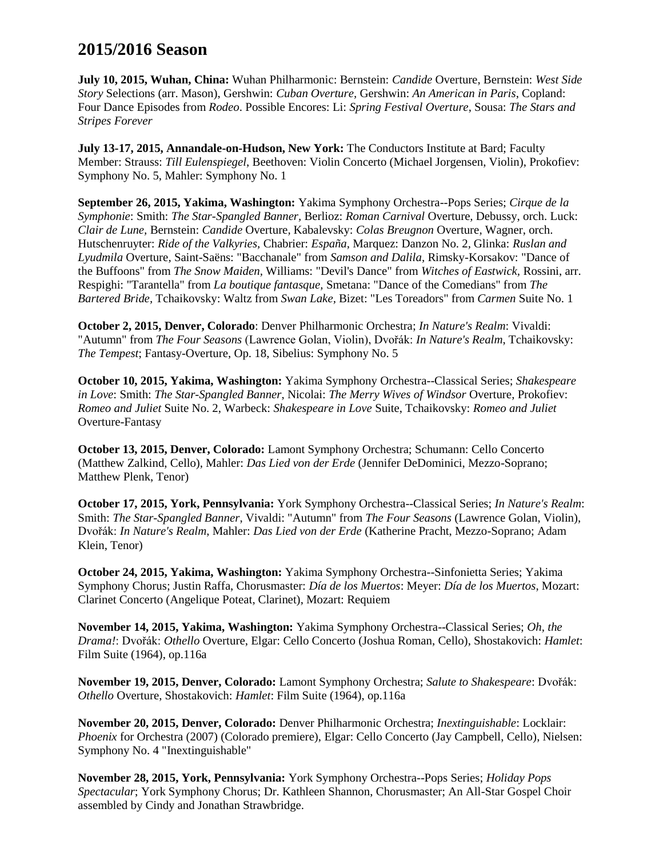# **2015/2016 Season**

**July 10, 2015, Wuhan, China:** Wuhan Philharmonic: Bernstein: *Candide* Overture, Bernstein: *West Side Story* Selections (arr. Mason), Gershwin: *Cuban Overture,* Gershwin: *An American in Paris*, Copland: Four Dance Episodes from *Rodeo*. Possible Encores: Li: *Spring Festival Overture*, Sousa: *The Stars and Stripes Forever*

**July 13-17, 2015, Annandale-on-Hudson, New York:** The Conductors Institute at Bard; Faculty Member: Strauss: *Till Eulenspiegel*, Beethoven: Violin Concerto (Michael Jorgensen, Violin), Prokofiev: Symphony No. 5, Mahler: Symphony No. 1

**September 26, 2015, Yakima, Washington:** Yakima Symphony Orchestra--Pops Series; *Cirque de la Symphonie*: Smith: *The Star-Spangled Banner,* Berlioz: *Roman Carnival* Overture*,* Debussy, orch. Luck: *Clair de Lune,* Bernstein: *Candide* Overture*,* Kabalevsky: *Colas Breugnon* Overture*,* Wagner, orch. Hutschenruyter: *Ride of the Valkyries,* Chabrier: *España,* Marquez: Danzon No. 2*,* Glinka: *Ruslan and Lyudmila* Overture*,* Saint-Saëns: "Bacchanale" from *Samson and Dalila,* Rimsky-Korsakov: "Dance of the Buffoons" from *The Snow Maiden,* Williams: "Devil's Dance" from *Witches of Eastwick,* Rossini, arr. Respighi: "Tarantella" from *La boutique fantasque,* Smetana: "Dance of the Comedians" from *The Bartered Bride,* Tchaikovsky: Waltz from *Swan Lake,* Bizet: "Les Toreadors" from *Carmen* Suite No. 1

**October 2, 2015, Denver, Colorado**: Denver Philharmonic Orchestra; *In Nature's Realm*: Vivaldi: "Autumn" from *The Four Seasons* (Lawrence Golan, Violin), Dvořák: *In Nature's Realm*, Tchaikovsky: *The Tempest*; Fantasy-Overture, Op. 18, Sibelius: Symphony No. 5

**October 10, 2015, Yakima, Washington:** Yakima Symphony Orchestra--Classical Series; *Shakespeare in Love*: Smith: *The Star-Spangled Banner*, Nicolai: *The Merry Wives of Windsor* Overture, Prokofiev: *Romeo and Juliet* Suite No. 2, Warbeck: *Shakespeare in Love* Suite, Tchaikovsky: *Romeo and Juliet* Overture-Fantasy

**October 13, 2015, Denver, Colorado:** Lamont Symphony Orchestra; Schumann: Cello Concerto (Matthew Zalkind, Cello), Mahler: *Das Lied von der Erde* (Jennifer DeDominici, Mezzo-Soprano; Matthew Plenk, Tenor)

**October 17, 2015, York, Pennsylvania:** York Symphony Orchestra--Classical Series; *In Nature's Realm*: Smith: *The Star-Spangled Banner*, Vivaldi: "Autumn" from *The Four Seasons* (Lawrence Golan, Violin), Dvořák: *In Nature's Realm*, Mahler: *Das Lied von der Erde* (Katherine Pracht, Mezzo-Soprano; Adam Klein, Tenor)

**October 24, 2015, Yakima, Washington:** Yakima Symphony Orchestra--Sinfonietta Series; Yakima Symphony Chorus; Justin Raffa, Chorusmaster: *Día de los Muertos*: Meyer: *Día de los Muertos*, Mozart: Clarinet Concerto (Angelique Poteat, Clarinet), Mozart: Requiem

**November 14, 2015, Yakima, Washington:** Yakima Symphony Orchestra--Classical Series; *Oh, the Drama!*: Dvořák: *Othello* Overture, Elgar: Cello Concerto (Joshua Roman, Cello), Shostakovich: *Hamlet*: Film Suite (1964), op.116a

**November 19, 2015, Denver, Colorado:** Lamont Symphony Orchestra; *Salute to Shakespeare*: Dvořák: *Othello* Overture, Shostakovich: *Hamlet*: Film Suite (1964), op.116a

**November 20, 2015, Denver, Colorado:** Denver Philharmonic Orchestra; *Inextinguishable*: Locklair: *Phoenix* for Orchestra (2007) (Colorado premiere), Elgar: Cello Concerto (Jay Campbell, Cello), Nielsen: Symphony No. 4 "Inextinguishable"

**November 28, 2015, York, Pennsylvania:** York Symphony Orchestra--Pops Series; *Holiday Pops Spectacular*; York Symphony Chorus; Dr. Kathleen Shannon, Chorusmaster; An All-Star Gospel Choir assembled by Cindy and Jonathan Strawbridge.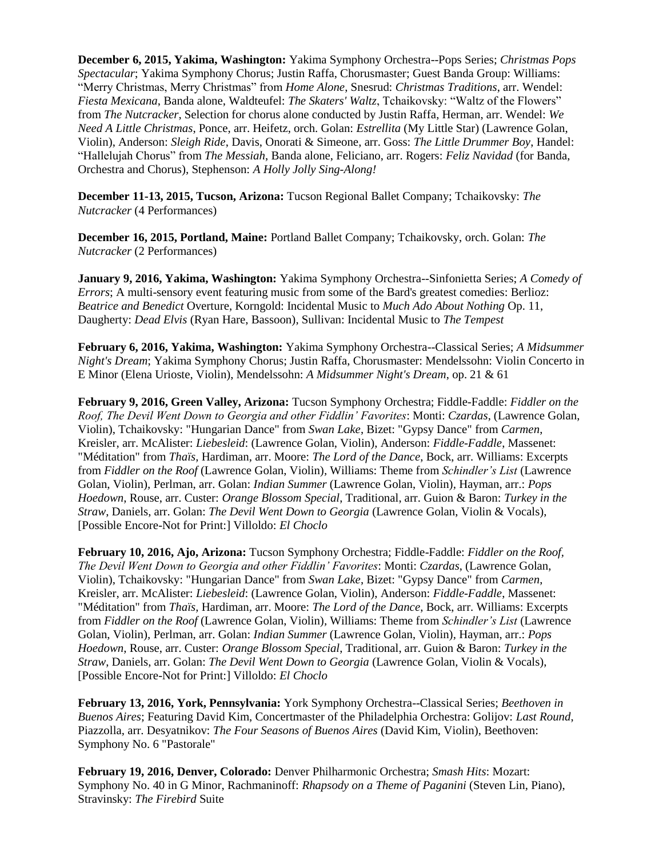**December 6, 2015, Yakima, Washington:** Yakima Symphony Orchestra--Pops Series; *Christmas Pops Spectacular*; Yakima Symphony Chorus; Justin Raffa, Chorusmaster; Guest Banda Group: Williams: "Merry Christmas, Merry Christmas" from *Home Alone*, Snesrud: *Christmas Traditions*, arr. Wendel: *Fiesta Mexicana*, Banda alone, Waldteufel: *The Skaters' Waltz*, Tchaikovsky: "Waltz of the Flowers" from *The Nutcracker*, Selection for chorus alone conducted by Justin Raffa, Herman, arr. Wendel: *We Need A Little Christmas*, Ponce, arr. Heifetz, orch. Golan: *Estrellita* (My Little Star) (Lawrence Golan, Violin), Anderson: *Sleigh Ride*, Davis, Onorati & Simeone, arr. Goss: *The Little Drummer Boy*, Handel: "Hallelujah Chorus" from *The Messiah*, Banda alone, Feliciano, arr. Rogers: *Feliz Navidad* (for Banda, Orchestra and Chorus), Stephenson: *A Holly Jolly Sing-Along!*

**December 11-13, 2015, Tucson, Arizona:** Tucson Regional Ballet Company; Tchaikovsky: *The Nutcracker* (4 Performances)

**December 16, 2015, Portland, Maine:** Portland Ballet Company; Tchaikovsky, orch. Golan: *The Nutcracker* (2 Performances)

**January 9, 2016, Yakima, Washington:** Yakima Symphony Orchestra--Sinfonietta Series; *A Comedy of Errors*; A multi-sensory event featuring music from some of the Bard's greatest comedies: Berlioz: *Beatrice and Benedict* Overture, Korngold: Incidental Music to *Much Ado About Nothing* Op. 11, Daugherty: *Dead Elvis* (Ryan Hare, Bassoon), Sullivan: Incidental Music to *The Tempest*

**February 6, 2016, Yakima, Washington:** Yakima Symphony Orchestra--Classical Series; *A Midsummer Night's Dream*; Yakima Symphony Chorus; Justin Raffa, Chorusmaster: Mendelssohn: Violin Concerto in E Minor (Elena Urioste, Violin), Mendelssohn: *A Midsummer Night's Dream*, op. 21 & 61

**February 9, 2016, Green Valley, Arizona:** Tucson Symphony Orchestra; Fiddle-Faddle: *Fiddler on the Roof, The Devil Went Down to Georgia and other Fiddlin' Favorites*: Monti: *Czardas*, (Lawrence Golan, Violin), Tchaikovsky: "Hungarian Dance" from *Swan Lake*, Bizet: "Gypsy Dance" from *Carmen*, Kreisler, arr. McAlister: *Liebesleid*: (Lawrence Golan, Violin), Anderson: *Fiddle-Faddle*, Massenet: "Méditation" from *Thaïs*, Hardiman, arr. Moore: *The Lord of the Dance*, Bock, arr. Williams: Excerpts from *Fiddler on the Roof* (Lawrence Golan, Violin)*,* Williams: Theme from *Schindler's List* (Lawrence Golan, Violin)*,* Perlman, arr. Golan: *Indian Summer* (Lawrence Golan, Violin)*,* Hayman, arr.: *Pops Hoedown*, Rouse, arr. Custer: *Orange Blossom Special*, Traditional, arr. Guion & Baron: *Turkey in the Straw*, Daniels, arr. Golan: *The Devil Went Down to Georgia* (Lawrence Golan, Violin & Vocals), [Possible Encore-Not for Print:] Villoldo: *El Choclo*

**February 10, 2016, Ajo, Arizona:** Tucson Symphony Orchestra; Fiddle-Faddle: *Fiddler on the Roof, The Devil Went Down to Georgia and other Fiddlin' Favorites*: Monti: *Czardas*, (Lawrence Golan, Violin), Tchaikovsky: "Hungarian Dance" from *Swan Lake*, Bizet: "Gypsy Dance" from *Carmen*, Kreisler, arr. McAlister: *Liebesleid*: (Lawrence Golan, Violin), Anderson: *Fiddle-Faddle*, Massenet: "Méditation" from *Thaïs*, Hardiman, arr. Moore: *The Lord of the Dance*, Bock, arr. Williams: Excerpts from *Fiddler on the Roof* (Lawrence Golan, Violin)*,* Williams: Theme from *Schindler's List* (Lawrence Golan, Violin)*,* Perlman, arr. Golan: *Indian Summer* (Lawrence Golan, Violin)*,* Hayman, arr.: *Pops Hoedown*, Rouse, arr. Custer: *Orange Blossom Special*, Traditional, arr. Guion & Baron: *Turkey in the Straw*, Daniels, arr. Golan: *The Devil Went Down to Georgia* (Lawrence Golan, Violin & Vocals), [Possible Encore-Not for Print:] Villoldo: *El Choclo*

**February 13, 2016, York, Pennsylvania:** York Symphony Orchestra--Classical Series; *Beethoven in Buenos Aires*; Featuring David Kim, Concertmaster of the Philadelphia Orchestra: Golijov: *Last Round*, Piazzolla, arr. Desyatnikov: *The Four Seasons of Buenos Aires* (David Kim, Violin), Beethoven: Symphony No. 6 "Pastorale"

**February 19, 2016, Denver, Colorado:** Denver Philharmonic Orchestra; *Smash Hits*: Mozart: Symphony No. 40 in G Minor, Rachmaninoff: *Rhapsody on a Theme of Paganini* (Steven Lin, Piano), Stravinsky: *The Firebird* Suite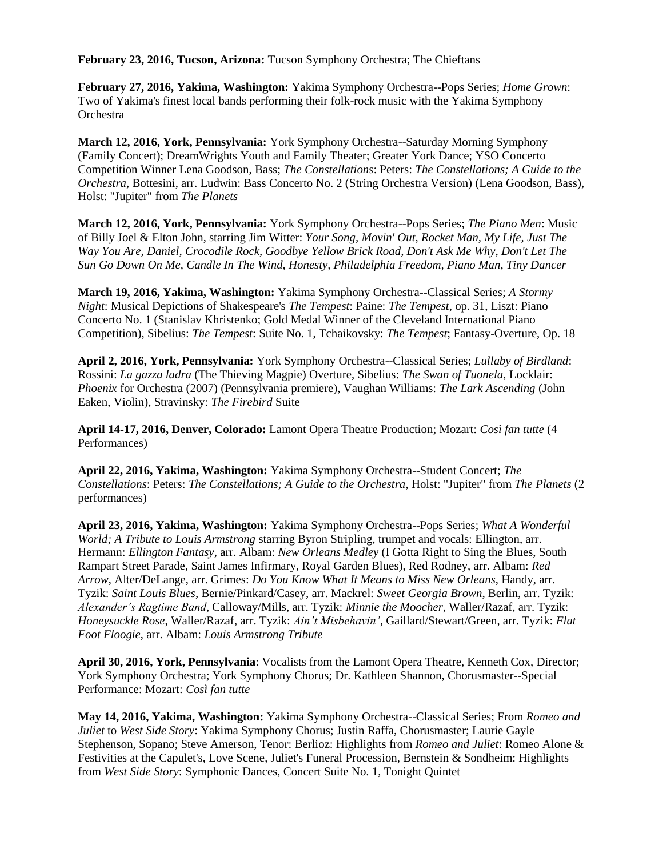**February 23, 2016, Tucson, Arizona:** Tucson Symphony Orchestra; The Chieftans

**February 27, 2016, Yakima, Washington:** Yakima Symphony Orchestra--Pops Series; *Home Grown*: Two of Yakima's finest local bands performing their folk-rock music with the Yakima Symphony **Orchestra** 

**March 12, 2016, York, Pennsylvania:** York Symphony Orchestra--Saturday Morning Symphony (Family Concert); DreamWrights Youth and Family Theater; Greater York Dance; YSO Concerto Competition Winner Lena Goodson, Bass; *The Constellations*: Peters: *The Constellations; A Guide to the Orchestra*, Bottesini, arr. Ludwin: Bass Concerto No. 2 (String Orchestra Version) (Lena Goodson, Bass), Holst: "Jupiter" from *The Planets*

**March 12, 2016, York, Pennsylvania:** York Symphony Orchestra--Pops Series; *The Piano Men*: Music of Billy Joel & Elton John, starring Jim Witter: *Your Song, Movin' Out, Rocket Man, My Life, Just The Way You Are, Daniel, Crocodile Rock, Goodbye Yellow Brick Road, Don't Ask Me Why, Don't Let The Sun Go Down On Me, Candle In The Wind, Honesty, Philadelphia Freedom, Piano Man, Tiny Dancer*

**March 19, 2016, Yakima, Washington:** Yakima Symphony Orchestra--Classical Series; *A Stormy Night*: Musical Depictions of Shakespeare's *The Tempest*: Paine: *The Tempest*, op. 31, Liszt: Piano Concerto No. 1 (Stanislav Khristenko; Gold Medal Winner of the Cleveland International Piano Competition), Sibelius: *The Tempest*: Suite No. 1, Tchaikovsky: *The Tempest*; Fantasy-Overture, Op. 18

**April 2, 2016, York, Pennsylvania:** York Symphony Orchestra--Classical Series; *Lullaby of Birdland*: Rossini: *La gazza ladra* (The Thieving Magpie) Overture, Sibelius: *The Swan of Tuonela*, Locklair: *Phoenix* for Orchestra (2007) (Pennsylvania premiere), Vaughan Williams: *The Lark Ascending* (John Eaken, Violin), Stravinsky: *The Firebird* Suite

**April 14-17, 2016, Denver, Colorado:** Lamont Opera Theatre Production; Mozart: *Così fan tutte* (4 Performances)

**April 22, 2016, Yakima, Washington:** Yakima Symphony Orchestra--Student Concert; *The Constellations*: Peters: *The Constellations; A Guide to the Orchestra*, Holst: "Jupiter" from *The Planets* (2 performances)

**April 23, 2016, Yakima, Washington:** Yakima Symphony Orchestra--Pops Series; *What A Wonderful World; A Tribute to Louis Armstrong* starring Byron Stripling, trumpet and vocals: Ellington, arr. Hermann: *Ellington Fantasy*, arr. Albam: *New Orleans Medley* (I Gotta Right to Sing the Blues, South Rampart Street Parade, Saint James Infirmary, Royal Garden Blues), Red Rodney, arr. Albam: *Red Arrow*, Alter/DeLange, arr. Grimes: *Do You Know What It Means to Miss New Orleans*, Handy, arr. Tyzik: *Saint Louis Blues*, Bernie/Pinkard/Casey, arr. Mackrel: *Sweet Georgia Brown*, Berlin, arr. Tyzik: *Alexander's Ragtime Band*, Calloway/Mills, arr. Tyzik: *Minnie the Moocher*, Waller/Razaf, arr. Tyzik: *Honeysuckle Rose*, Waller/Razaf, arr. Tyzik: *Ain't Misbehavin'*, Gaillard/Stewart/Green, arr. Tyzik: *Flat Foot Floogie*, arr. Albam: *Louis Armstrong Tribute*

**April 30, 2016, York, Pennsylvania**: Vocalists from the Lamont Opera Theatre, Kenneth Cox, Director; York Symphony Orchestra; York Symphony Chorus; Dr. Kathleen Shannon, Chorusmaster--Special Performance: Mozart: *Così fan tutte*

**May 14, 2016, Yakima, Washington:** Yakima Symphony Orchestra--Classical Series; From *Romeo and Juliet* to *West Side Story*: Yakima Symphony Chorus; Justin Raffa, Chorusmaster; Laurie Gayle Stephenson, Sopano; Steve Amerson, Tenor: Berlioz: Highlights from *Romeo and Juliet*: Romeo Alone & Festivities at the Capulet's, Love Scene, Juliet's Funeral Procession, Bernstein & Sondheim: Highlights from *West Side Story*: Symphonic Dances, Concert Suite No. 1, Tonight Quintet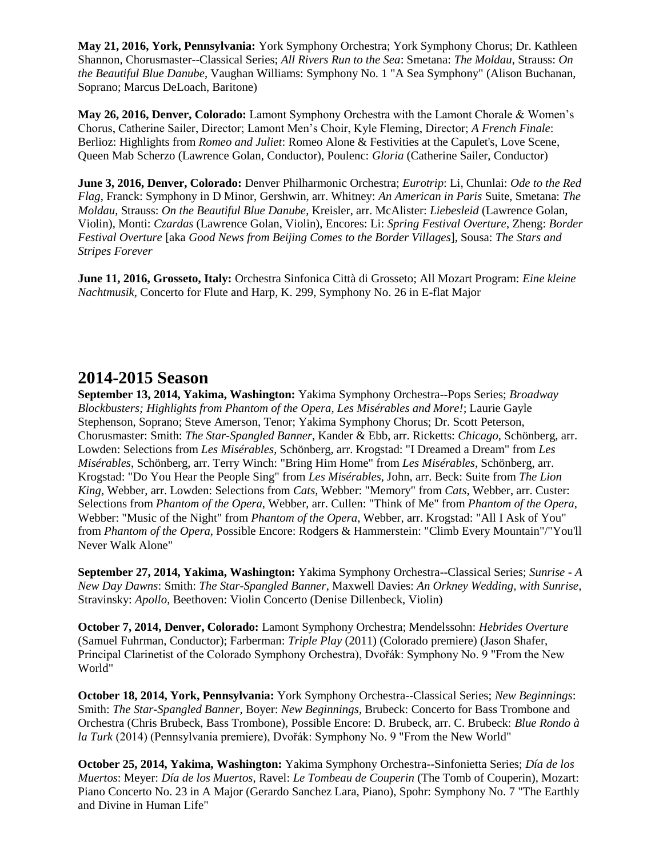**May 21, 2016, York, Pennsylvania:** York Symphony Orchestra; York Symphony Chorus; Dr. Kathleen Shannon, Chorusmaster--Classical Series; *All Rivers Run to the Sea*: Smetana: *The Moldau*, Strauss: *On the Beautiful Blue Danube*, Vaughan Williams: Symphony No. 1 "A Sea Symphony" (Alison Buchanan, Soprano; Marcus DeLoach, Baritone)

**May 26, 2016, Denver, Colorado:** Lamont Symphony Orchestra with the Lamont Chorale & Women's Chorus, Catherine Sailer, Director; Lamont Men's Choir, Kyle Fleming, Director; *A French Finale*: Berlioz: Highlights from *Romeo and Juliet*: Romeo Alone & Festivities at the Capulet's, Love Scene, Queen Mab Scherzo (Lawrence Golan, Conductor), Poulenc: *Gloria* (Catherine Sailer, Conductor)

**June 3, 2016, Denver, Colorado:** Denver Philharmonic Orchestra; *Eurotrip*: Li, Chunlai: *Ode to the Red Flag*, Franck: Symphony in D Minor, Gershwin, arr. Whitney: *An American in Paris* Suite, Smetana: *The Moldau*, Strauss: *On the Beautiful Blue Danube*, Kreisler, arr. McAlister: *Liebesleid* (Lawrence Golan, Violin), Monti: *Czardas* (Lawrence Golan, Violin), Encores: Li: *Spring Festival Overture*, Zheng: *Border Festival Overture* [aka *Good News from Beijing Comes to the Border Villages*], Sousa: *The Stars and Stripes Forever*

**June 11, 2016, Grosseto, Italy:** Orchestra Sinfonica Città di Grosseto; All Mozart Program: *Eine kleine Nachtmusik,* Concerto for Flute and Harp, K. 299, Symphony No. 26 in E-flat Major

#### **2014-2015 Season**

**September 13, 2014, Yakima, Washington:** Yakima Symphony Orchestra--Pops Series; *Broadway Blockbusters; Highlights from Phantom of the Opera, Les Misérables and More!*; Laurie Gayle Stephenson, Soprano; Steve Amerson, Tenor; Yakima Symphony Chorus; Dr. Scott Peterson, Chorusmaster: Smith: *The Star-Spangled Banner*, Kander & Ebb, arr. Ricketts: *Chicago*, Schönberg, arr. Lowden: Selections from *Les Misérables*, Schönberg, arr. Krogstad: "I Dreamed a Dream" from *Les Misérables*, Schönberg, arr. Terry Winch: "Bring Him Home" from *Les Misérables*, Schönberg, arr. Krogstad: "Do You Hear the People Sing" from *Les Misérables*, John, arr. Beck: Suite from *The Lion King*, Webber, arr. Lowden: Selections from *Cats*, Webber: "Memory" from *Cats*, Webber, arr. Custer: Selections from *Phantom of the Opera*, Webber, arr. Cullen: "Think of Me" from *Phantom of the Opera*, Webber: "Music of the Night" from *Phantom of the Opera*, Webber, arr. Krogstad: "All I Ask of You" from *Phantom of the Opera*, Possible Encore: Rodgers & Hammerstein: "Climb Every Mountain"/"You'll Never Walk Alone"

**September 27, 2014, Yakima, Washington:** Yakima Symphony Orchestra--Classical Series; *Sunrise - A New Day Dawns*: Smith: *The Star-Spangled Banner*, Maxwell Davies: *An Orkney Wedding, with Sunrise*, Stravinsky: *Apollo*, Beethoven: Violin Concerto (Denise Dillenbeck, Violin)

**October 7, 2014, Denver, Colorado:** Lamont Symphony Orchestra; Mendelssohn: *Hebrides Overture* (Samuel Fuhrman, Conductor); Farberman: *Triple Play* (2011) (Colorado premiere) (Jason Shafer, Principal Clarinetist of the Colorado Symphony Orchestra), Dvořák: Symphony No. 9 "From the New World"

**October 18, 2014, York, Pennsylvania:** York Symphony Orchestra--Classical Series; *New Beginnings*: Smith: *The Star-Spangled Banner*, Boyer: *New Beginnings*, Brubeck: Concerto for Bass Trombone and Orchestra (Chris Brubeck, Bass Trombone), Possible Encore: D. Brubeck, arr. C. Brubeck: *Blue Rondo à la Turk* (2014) (Pennsylvania premiere), Dvořák: Symphony No. 9 "From the New World"

**October 25, 2014, Yakima, Washington:** Yakima Symphony Orchestra--Sinfonietta Series; *Día de los Muertos*: Meyer: *Día de los Muertos*, Ravel: *Le Tombeau de Couperin* (The Tomb of Couperin), Mozart: Piano Concerto No. 23 in A Major (Gerardo Sanchez Lara, Piano), Spohr: Symphony No. 7 "The Earthly and Divine in Human Life"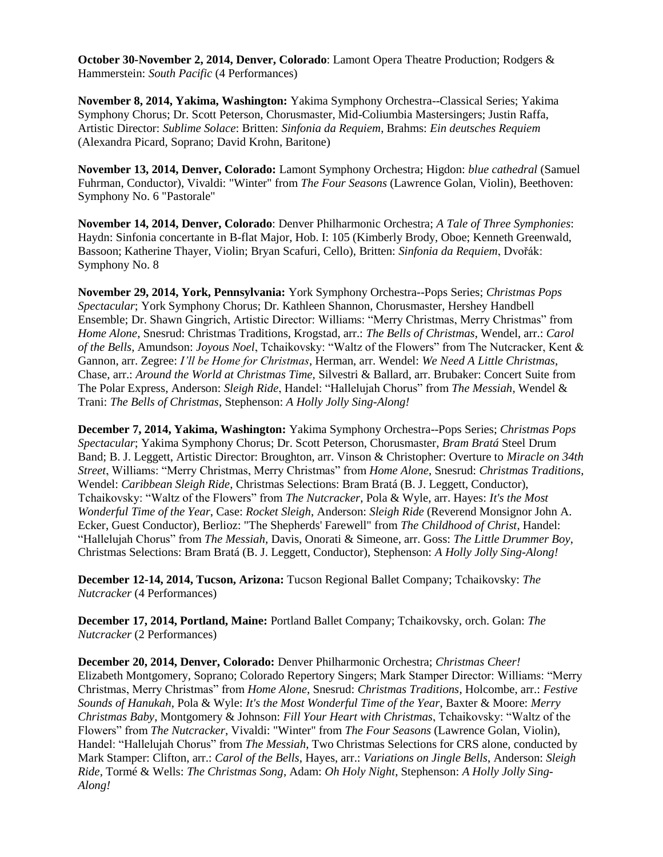**October 30-November 2, 2014, Denver, Colorado**: Lamont Opera Theatre Production; Rodgers & Hammerstein: *South Pacific* (4 Performances)

**November 8, 2014, Yakima, Washington:** Yakima Symphony Orchestra--Classical Series; Yakima Symphony Chorus; Dr. Scott Peterson, Chorusmaster, Mid-Coliumbia Mastersingers; Justin Raffa, Artistic Director: *Sublime Solace*: Britten: *Sinfonia da Requiem*, Brahms: *Ein deutsches Requiem* (Alexandra Picard, Soprano; David Krohn, Baritone)

**November 13, 2014, Denver, Colorado:** Lamont Symphony Orchestra; Higdon: *blue cathedral* (Samuel Fuhrman, Conductor), Vivaldi: "Winter" from *The Four Seasons* (Lawrence Golan, Violin), Beethoven: Symphony No. 6 "Pastorale"

**November 14, 2014, Denver, Colorado**: Denver Philharmonic Orchestra; *A Tale of Three Symphonies*: Haydn: Sinfonia concertante in B-flat Major, Hob. I: 105 (Kimberly Brody, Oboe; Kenneth Greenwald, Bassoon; Katherine Thayer, Violin; Bryan Scafuri, Cello), Britten: *Sinfonia da Requiem*, Dvořák: Symphony No. 8

**November 29, 2014, York, Pennsylvania:** York Symphony Orchestra--Pops Series; *Christmas Pops Spectacular*; York Symphony Chorus; Dr. Kathleen Shannon, Chorusmaster, Hershey Handbell Ensemble; Dr. Shawn Gingrich, Artistic Director: Williams: "Merry Christmas, Merry Christmas" from *Home Alone*, Snesrud: Christmas Traditions, Krogstad, arr.: *The Bells of Christmas*, Wendel, arr.: *Carol of the Bells*, Amundson: *Joyous Noel*, Tchaikovsky: "Waltz of the Flowers" from The Nutcracker, Kent & Gannon, arr. Zegree: *I'll be Home for Christmas*, Herman, arr. Wendel: *We Need A Little Christmas*, Chase, arr.: *Around the World at Christmas Time,* Silvestri & Ballard, arr. Brubaker: Concert Suite from The Polar Express, Anderson: *Sleigh Ride*, Handel: "Hallelujah Chorus" from *The Messiah*, Wendel & Trani: *The Bells of Christmas*, Stephenson: *A Holly Jolly Sing-Along!*

**December 7, 2014, Yakima, Washington:** Yakima Symphony Orchestra--Pops Series; *Christmas Pops Spectacular*; Yakima Symphony Chorus; Dr. Scott Peterson, Chorusmaster, *Bram Bratá* Steel Drum Band; B. J. Leggett, Artistic Director: Broughton, arr. Vinson & Christopher: Overture to *Miracle on 34th Street*, Williams: "Merry Christmas, Merry Christmas" from *Home Alone*, Snesrud: *Christmas Traditions*, Wendel: *Caribbean Sleigh Ride*, Christmas Selections: Bram Bratá (B. J. Leggett, Conductor), Tchaikovsky: "Waltz of the Flowers" from *The Nutcracker*, Pola & Wyle, arr. Hayes: *It's the Most Wonderful Time of the Year*, Case: *Rocket Sleigh*, Anderson: *Sleigh Ride* (Reverend Monsignor John A. Ecker, Guest Conductor), Berlioz: "The Shepherds' Farewell" from *The Childhood of Christ*, Handel: "Hallelujah Chorus" from *The Messiah*, Davis, Onorati & Simeone, arr. Goss: *The Little Drummer Boy*, Christmas Selections: Bram Bratá (B. J. Leggett, Conductor), Stephenson: *A Holly Jolly Sing-Along!*

**December 12-14, 2014, Tucson, Arizona:** Tucson Regional Ballet Company; Tchaikovsky: *The Nutcracker* (4 Performances)

**December 17, 2014, Portland, Maine:** Portland Ballet Company; Tchaikovsky, orch. Golan: *The Nutcracker* (2 Performances)

**December 20, 2014, Denver, Colorado:** Denver Philharmonic Orchestra; *Christmas Cheer!* Elizabeth Montgomery, Soprano; Colorado Repertory Singers; Mark Stamper Director: Williams: "Merry Christmas, Merry Christmas" from *Home Alone*, Snesrud: *Christmas Traditions*, Holcombe, arr.: *Festive Sounds of Hanukah*, Pola & Wyle: *It's the Most Wonderful Time of the Year*, Baxter & Moore: *Merry Christmas Baby*, Montgomery & Johnson: *Fill Your Heart with Christmas*, Tchaikovsky: "Waltz of the Flowers" from *The Nutcracker*, Vivaldi: "Winter" from *The Four Seasons* (Lawrence Golan, Violin), Handel: "Hallelujah Chorus" from *The Messiah*, Two Christmas Selections for CRS alone, conducted by Mark Stamper: Clifton, arr.: *Carol of the Bells*, Hayes, arr.: *Variations on Jingle Bells*, Anderson: *Sleigh Ride*, Tormé & Wells: *The Christmas Song*, Adam: *Oh Holy Night*, Stephenson: *A Holly Jolly Sing-Along!*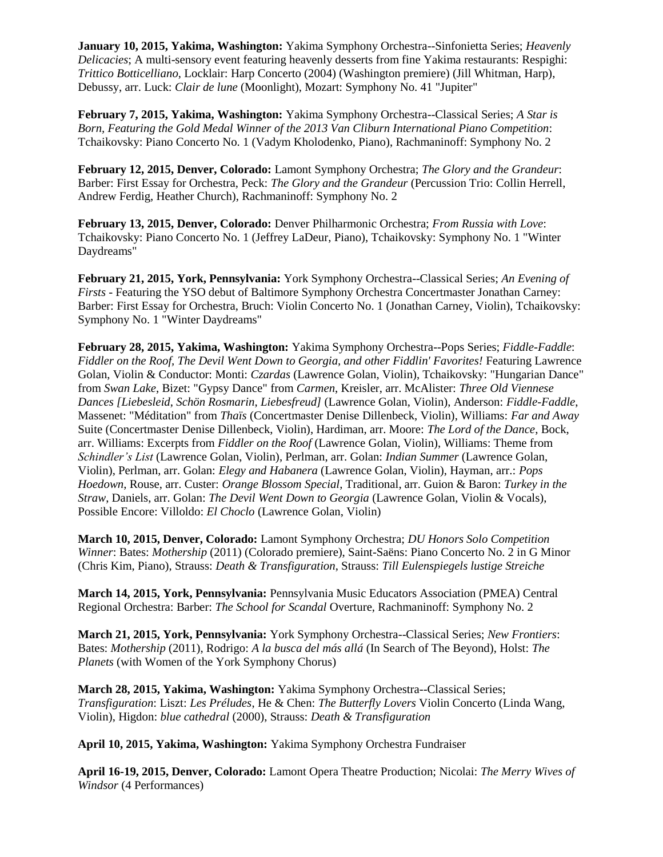**January 10, 2015, Yakima, Washington:** Yakima Symphony Orchestra--Sinfonietta Series; *Heavenly Delicacies*; A multi-sensory event featuring heavenly desserts from fine Yakima restaurants: Respighi: *Trittico Botticelliano*, Locklair: Harp Concerto (2004) (Washington premiere) (Jill Whitman, Harp), Debussy, arr. Luck: *Clair de lune* (Moonlight), Mozart: Symphony No. 41 "Jupiter"

**February 7, 2015, Yakima, Washington:** Yakima Symphony Orchestra--Classical Series; *A Star is Born, Featuring the Gold Medal Winner of the 2013 Van Cliburn International Piano Competition*: Tchaikovsky: Piano Concerto No. 1 (Vadym Kholodenko, Piano), Rachmaninoff: Symphony No. 2

**February 12, 2015, Denver, Colorado:** Lamont Symphony Orchestra; *The Glory and the Grandeur*: Barber: First Essay for Orchestra, Peck: *The Glory and the Grandeur* (Percussion Trio: Collin Herrell, Andrew Ferdig, Heather Church), Rachmaninoff: Symphony No. 2

**February 13, 2015, Denver, Colorado:** Denver Philharmonic Orchestra; *From Russia with Love*: Tchaikovsky: Piano Concerto No. 1 (Jeffrey LaDeur, Piano), Tchaikovsky: Symphony No. 1 "Winter Daydreams"

**February 21, 2015, York, Pennsylvania:** York Symphony Orchestra--Classical Series; *An Evening of Firsts* - Featuring the YSO debut of Baltimore Symphony Orchestra Concertmaster Jonathan Carney: Barber: First Essay for Orchestra, Bruch: Violin Concerto No. 1 (Jonathan Carney, Violin), Tchaikovsky: Symphony No. 1 "Winter Daydreams"

**February 28, 2015, Yakima, Washington:** Yakima Symphony Orchestra--Pops Series; *Fiddle-Faddle*: *Fiddler on the Roof, The Devil Went Down to Georgia, and other Fiddlin' Favorites!* Featuring Lawrence Golan, Violin & Conductor: Monti: *Czardas* (Lawrence Golan, Violin), Tchaikovsky: "Hungarian Dance" from *Swan Lake*, Bizet: "Gypsy Dance" from *Carmen*, Kreisler, arr. McAlister: *Three Old Viennese Dances [Liebesleid*, *Schön Rosmarin*, *Liebesfreud]* (Lawrence Golan, Violin), Anderson: *Fiddle-Faddle*, Massenet: "Méditation" from *Thaïs* (Concertmaster Denise Dillenbeck, Violin), Williams: *Far and Away* Suite (Concertmaster Denise Dillenbeck, Violin), Hardiman, arr. Moore: *The Lord of the Dance*, Bock, arr. Williams: Excerpts from *Fiddler on the Roof* (Lawrence Golan, Violin), Williams: Theme from *Schindler's List* (Lawrence Golan, Violin), Perlman, arr. Golan: *Indian Summer* (Lawrence Golan, Violin), Perlman, arr. Golan: *Elegy and Habanera* (Lawrence Golan, Violin), Hayman, arr.: *Pops Hoedown*, Rouse, arr. Custer: *Orange Blossom Special*, Traditional, arr. Guion & Baron: *Turkey in the Straw*, Daniels, arr. Golan: *The Devil Went Down to Georgia* (Lawrence Golan, Violin & Vocals), Possible Encore: Villoldo: *El Choclo* (Lawrence Golan, Violin)

**March 10, 2015, Denver, Colorado:** Lamont Symphony Orchestra; *DU Honors Solo Competition Winner*: Bates: *Mothership* (2011) (Colorado premiere), Saint-Saëns: Piano Concerto No. 2 in G Minor (Chris Kim, Piano), Strauss: *Death & Transfiguration*, Strauss: *Till Eulenspiegels lustige Streiche*

**March 14, 2015, York, Pennsylvania:** Pennsylvania Music Educators Association (PMEA) Central Regional Orchestra: Barber: *The School for Scandal* Overture, Rachmaninoff: Symphony No. 2

**March 21, 2015, York, Pennsylvania:** York Symphony Orchestra--Classical Series; *New Frontiers*: Bates: *Mothership* (2011), Rodrigo: *A la busca del más allá* (In Search of The Beyond), Holst: *The Planets* (with Women of the York Symphony Chorus)

**March 28, 2015, Yakima, Washington:** Yakima Symphony Orchestra--Classical Series; *Transfiguration*: Liszt: *Les Préludes*, He & Chen: *The Butterfly Lovers* Violin Concerto (Linda Wang, Violin), Higdon: *blue cathedral* (2000), Strauss: *Death & Transfiguration*

**April 10, 2015, Yakima, Washington:** Yakima Symphony Orchestra Fundraiser

**April 16-19, 2015, Denver, Colorado:** Lamont Opera Theatre Production; Nicolai: *The Merry Wives of Windsor* (4 Performances)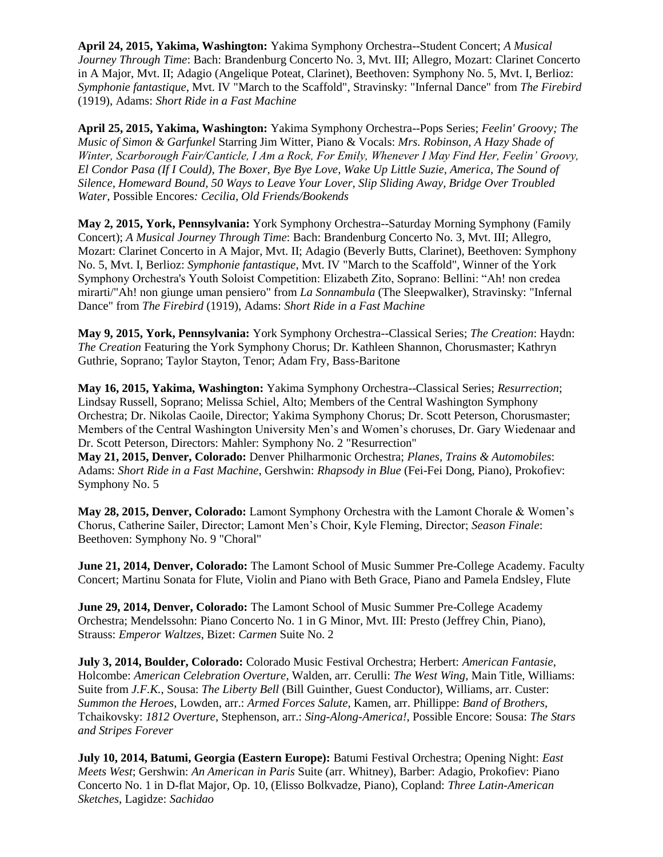**April 24, 2015, Yakima, Washington:** Yakima Symphony Orchestra--Student Concert; *A Musical Journey Through Time*: Bach: Brandenburg Concerto No. 3, Mvt. III; Allegro, Mozart: Clarinet Concerto in A Major, Mvt. II; Adagio (Angelique Poteat, Clarinet), Beethoven: Symphony No. 5, Mvt. I, Berlioz: *Symphonie fantastique*, Mvt. IV "March to the Scaffold", Stravinsky: "Infernal Dance" from *The Firebird* (1919), Adams: *Short Ride in a Fast Machine*

**April 25, 2015, Yakima, Washington:** Yakima Symphony Orchestra--Pops Series; *Feelin' Groovy; The Music of Simon & Garfunkel* Starring Jim Witter, Piano & Vocals: *Mrs. Robinson, A Hazy Shade of Winter, Scarborough Fair/Canticle, I Am a Rock, For Emily, Whenever I May Find Her, Feelin' Groovy, El Condor Pasa (If I Could), The Boxer, Bye Bye Love, Wake Up Little Suzie, America, The Sound of Silence, Homeward Bound, 50 Ways to Leave Your Lover, Slip Sliding Away, Bridge Over Troubled Water,* Possible Encores*: Cecilia, Old Friends/Bookends*

**May 2, 2015, York, Pennsylvania:** York Symphony Orchestra--Saturday Morning Symphony (Family Concert); *A Musical Journey Through Time*: Bach: Brandenburg Concerto No. 3, Mvt. III; Allegro, Mozart: Clarinet Concerto in A Major, Mvt. II; Adagio (Beverly Butts, Clarinet), Beethoven: Symphony No. 5, Mvt. I, Berlioz: *Symphonie fantastique*, Mvt. IV "March to the Scaffold", Winner of the York Symphony Orchestra's Youth Soloist Competition: Elizabeth Zito, Soprano: Bellini: "Ah! non credea mirarti/"Ah! non giunge uman pensiero" from *La Sonnambula* (The Sleepwalker), Stravinsky: "Infernal Dance" from *The Firebird* (1919), Adams: *Short Ride in a Fast Machine*

**May 9, 2015, York, Pennsylvania:** York Symphony Orchestra--Classical Series; *The Creation*: Haydn: *The Creation* Featuring the York Symphony Chorus; Dr. Kathleen Shannon, Chorusmaster; Kathryn Guthrie, Soprano; Taylor Stayton, Tenor; Adam Fry, Bass-Baritone

**May 16, 2015, Yakima, Washington:** Yakima Symphony Orchestra--Classical Series; *Resurrection*; Lindsay Russell, Soprano; Melissa Schiel, Alto; Members of the Central Washington Symphony Orchestra; Dr. Nikolas Caoile, Director; Yakima Symphony Chorus; Dr. Scott Peterson, Chorusmaster; Members of the Central Washington University Men's and Women's choruses, Dr. Gary Wiedenaar and Dr. Scott Peterson, Directors: Mahler: Symphony No. 2 "Resurrection"

**May 21, 2015, Denver, Colorado:** Denver Philharmonic Orchestra; *Planes, Trains & Automobiles*: Adams: *Short Ride in a Fast Machine*, Gershwin: *Rhapsody in Blue* (Fei-Fei Dong, Piano), Prokofiev: Symphony No. 5

**May 28, 2015, Denver, Colorado:** Lamont Symphony Orchestra with the Lamont Chorale & Women's Chorus, Catherine Sailer, Director; Lamont Men's Choir, Kyle Fleming, Director; *Season Finale*: Beethoven: Symphony No. 9 "Choral"

**June 21, 2014, Denver, Colorado:** The Lamont School of Music Summer Pre-College Academy. Faculty Concert; Martinu Sonata for Flute, Violin and Piano with Beth Grace, Piano and Pamela Endsley, Flute

**June 29, 2014, Denver, Colorado:** The Lamont School of Music Summer Pre-College Academy Orchestra; Mendelssohn: Piano Concerto No. 1 in G Minor, Mvt. III: Presto (Jeffrey Chin, Piano), Strauss: *Emperor Waltzes*, Bizet: *Carmen* Suite No. 2

**July 3, 2014, Boulder, Colorado:** Colorado Music Festival Orchestra; Herbert: *American Fantasie*, Holcombe: *American Celebration Overture*, Walden, arr. Cerulli: *The West Wing*, Main Title, Williams: Suite from *J.F.K.*, Sousa: *The Liberty Bell* (Bill Guinther, Guest Conductor), Williams, arr. Custer: *Summon the Heroes*, Lowden, arr.: *Armed Forces Salute*, Kamen, arr. Phillippe: *Band of Brothers*, Tchaikovsky: *1812 Overture*, Stephenson, arr.: *Sing-Along-America!*, Possible Encore: Sousa: *The Stars and Stripes Forever*

**July 10, 2014, Batumi, Georgia (Eastern Europe):** Batumi Festival Orchestra; Opening Night: *East Meets West*; Gershwin: *An American in Paris* Suite (arr. Whitney), Barber: Adagio, Prokofiev: Piano Concerto No. 1 in D-flat Major, Op. 10, (Elisso Bolkvadze, Piano), Copland: *Three Latin-American Sketches*, Lagidze: *Sachidao*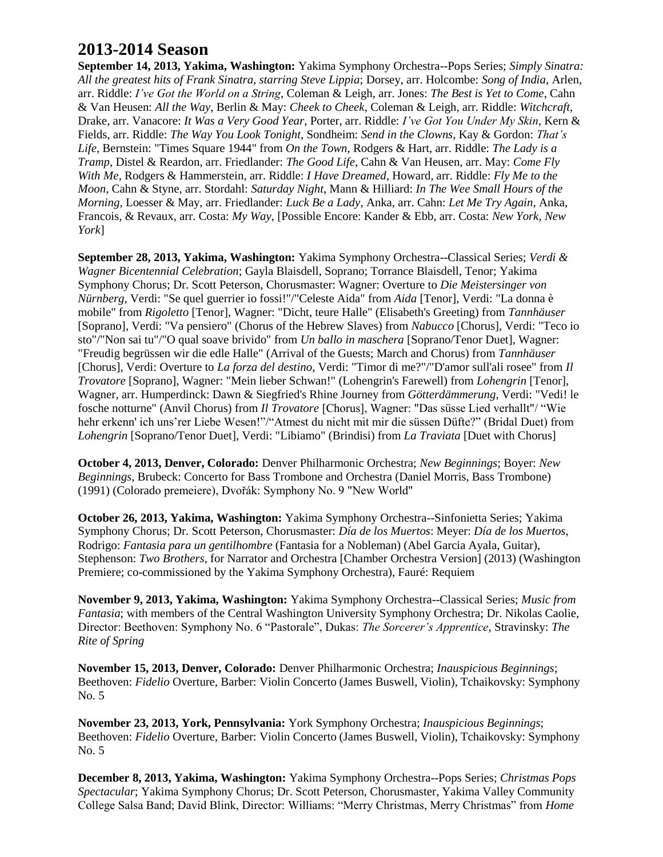## **2013-2014 Season**

**September 14, 2013, Yakima, Washington:** Yakima Symphony Orchestra--Pops Series; *Simply Sinatra: All the greatest hits of Frank Sinatra, starring Steve Lippia*; Dorsey, arr. Holcombe: *Song of India*, Arlen, arr. Riddle: *I've Got the World on a String*, Coleman & Leigh, arr. Jones: *The Best is Yet to Come*, Cahn & Van Heusen: *All the Way*, Berlin & May: *Cheek to Cheek*, Coleman & Leigh, arr. Riddle: *Witchcraft*, Drake, arr. Vanacore: *It Was a Very Good Year*, Porter, arr. Riddle: *I've Got You Under My Skin*, Kern & Fields, arr. Riddle: *The Way You Look Tonight*, Sondheim: *Send in the Clowns*, Kay & Gordon: *That's Life*, Bernstein: "Times Square 1944" from *On the Town*, Rodgers & Hart, arr. Riddle: *The Lady is a Tramp*, Distel & Reardon, arr. Friedlander: *The Good Life*, Cahn & Van Heusen, arr. May: *Come Fly With Me*, Rodgers & Hammerstein, arr. Riddle: *I Have Dreamed*, Howard, arr. Riddle: *Fly Me to the Moon*, Cahn & Styne, arr. Stordahl: *Saturday Night*, Mann & Hilliard: *In The Wee Small Hours of the Morning*, Loesser & May, arr. Friedlander: *Luck Be a Lady*, Anka, arr. Cahn: *Let Me Try Again*, Anka, Francois, & Revaux, arr. Costa: *My Way*, [Possible Encore: Kander & Ebb, arr. Costa: *New York, New York*]

**September 28, 2013, Yakima, Washington:** Yakima Symphony Orchestra--Classical Series; *Verdi & Wagner Bicentennial Celebration*; Gayla Blaisdell, Soprano; Torrance Blaisdell, Tenor; Yakima Symphony Chorus; Dr. Scott Peterson, Chorusmaster: Wagner: Overture to *Die Meistersinger von Nürnberg*, Verdi: "Se quel guerrier io fossi!"/"Celeste Aida" from *Aida* [Tenor], Verdi: "La donna è mobile" from *Rigoletto* [Tenor], Wagner: "Dicht, teure Halle" (Elisabeth's Greeting) from *Tannhäuser* [Soprano], Verdi: "Va pensiero" (Chorus of the Hebrew Slaves) from *Nabucco* [Chorus], Verdi: "Teco io sto"/"Non sai tu"/"O qual soave brivido" from *Un ballo in maschera* [Soprano/Tenor Duet], Wagner: "Freudig begrüssen wir die edle Halle" (Arrival of the Guests; March and Chorus) from *Tannhäuser* [Chorus], Verdi: Overture to *La forza del destino*, Verdi: "Timor di me?"/"D'amor sull'ali rosee" from *Il Trovatore* [Soprano], Wagner: "Mein lieber Schwan!" (Lohengrin's Farewell) from *Lohengrin* [Tenor], Wagner, arr. Humperdinck: Dawn & Siegfried's Rhine Journey from *Götterdämmerung*, Verdi: "Vedi! le fosche notturne" (Anvil Chorus) from *Il Trovatore* [Chorus], Wagner: "Das süsse Lied verhallt"/ "Wie hehr erkenn' ich uns'rer Liebe Wesen!"/"Atmest du nicht mit mir die süssen Düfte?" (Bridal Duet) from *Lohengrin* [Soprano/Tenor Duet], Verdi: "Libiamo" (Brindisi) from *La Traviata* [Duet with Chorus]

**October 4, 2013, Denver, Colorado:** Denver Philharmonic Orchestra; *New Beginnings*; Boyer: *New Beginnings*, Brubeck: Concerto for Bass Trombone and Orchestra (Daniel Morris, Bass Trombone) (1991) (Colorado premeiere), Dvořák: Symphony No. 9 "New World"

**October 26, 2013, Yakima, Washington:** Yakima Symphony Orchestra--Sinfonietta Series; Yakima Symphony Chorus; Dr. Scott Peterson, Chorusmaster: *Día de los Muertos*: Meyer: *Día de los Muertos*, Rodrigo: *Fantasia para un gentilhombre* (Fantasia for a Nobleman) (Abel Garcia Ayala, Guitar), Stephenson: *Two Brothers*, for Narrator and Orchestra [Chamber Orchestra Version] (2013) (Washington Premiere; co-commissioned by the Yakima Symphony Orchestra), Fauré: Requiem

**November 9, 2013, Yakima, Washington:** Yakima Symphony Orchestra--Classical Series; *Music from Fantasia*; with members of the Central Washington University Symphony Orchestra; Dr. Nikolas Caolie, Director: Beethoven: Symphony No. 6 "Pastorale", Dukas: *The Sorcerer's Apprentice*, Stravinsky: *The Rite of Spring*

**November 15, 2013, Denver, Colorado:** Denver Philharmonic Orchestra; *Inauspicious Beginnings*; Beethoven: *Fidelio* Overture, Barber: Violin Concerto (James Buswell, Violin), Tchaikovsky: Symphony No. 5

**November 23, 2013, York, Pennsylvania:** York Symphony Orchestra; *Inauspicious Beginnings*; Beethoven: *Fidelio* Overture, Barber: Violin Concerto (James Buswell, Violin), Tchaikovsky: Symphony No. 5

**December 8, 2013, Yakima, Washington:** Yakima Symphony Orchestra--Pops Series; *Christmas Pops Spectacular*; Yakima Symphony Chorus; Dr. Scott Peterson, Chorusmaster, Yakima Valley Community College Salsa Band; David Blink, Director: Williams: "Merry Christmas, Merry Christmas" from *Home*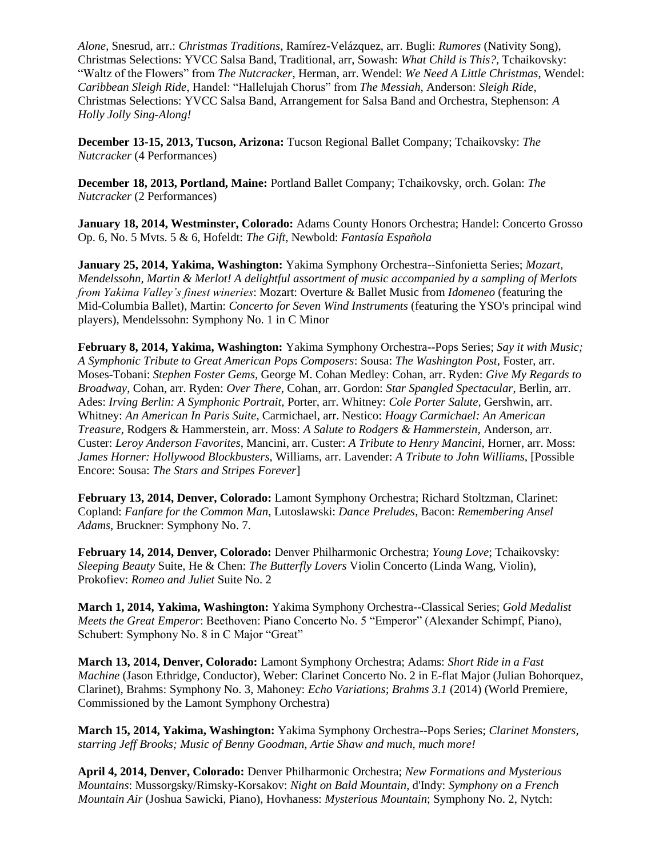*Alone*, Snesrud, arr.: *Christmas Traditions*, Ramírez-Velázquez, arr. Bugli: *Rumores* (Nativity Song), Christmas Selections: YVCC Salsa Band, Traditional, arr, Sowash: *What Child is This?,* Tchaikovsky: "Waltz of the Flowers" from *The Nutcracker*, Herman, arr. Wendel: *We Need A Little Christmas*, Wendel: *Caribbean Sleigh Ride*, Handel: "Hallelujah Chorus" from *The Messiah*, Anderson: *Sleigh Ride*, Christmas Selections: YVCC Salsa Band, Arrangement for Salsa Band and Orchestra, Stephenson: *A Holly Jolly Sing-Along!*

**December 13-15, 2013, Tucson, Arizona:** Tucson Regional Ballet Company; Tchaikovsky: *The Nutcracker* (4 Performances)

**December 18, 2013, Portland, Maine:** Portland Ballet Company; Tchaikovsky, orch. Golan: *The Nutcracker* (2 Performances)

**January 18, 2014, Westminster, Colorado:** Adams County Honors Orchestra; Handel: Concerto Grosso Op. 6, No. 5 Mvts. 5 & 6, Hofeldt: *The Gift*, Newbold: *Fantasía Española*

**January 25, 2014, Yakima, Washington:** Yakima Symphony Orchestra--Sinfonietta Series; *Mozart, Mendelssohn, Martin & Merlot! A delightful assortment of music accompanied by a sampling of Merlots from Yakima Valley's finest wineries*: Mozart: Overture & Ballet Music from *Idomeneo* (featuring the Mid-Columbia Ballet), Martin: *Concerto for Seven Wind Instruments* (featuring the YSO's principal wind players), Mendelssohn: Symphony No. 1 in C Minor

**February 8, 2014, Yakima, Washington:** Yakima Symphony Orchestra--Pops Series; *Say it with Music; A Symphonic Tribute to Great American Pops Composers*: Sousa: *The Washington Post*, Foster, arr. Moses-Tobani: *Stephen Foster Gems,* George M. Cohan Medley: Cohan, arr. Ryden: *Give My Regards to Broadway*, Cohan, arr. Ryden: *Over There*, Cohan, arr. Gordon: *Star Spangled Spectacular*, Berlin, arr. Ades: *Irving Berlin: A Symphonic Portrait,* Porter, arr. Whitney: *Cole Porter Salute,* Gershwin, arr. Whitney: *An American In Paris Suite*, Carmichael, arr. Nestico: *Hoagy Carmichael: An American Treasure*, Rodgers & Hammerstein, arr. Moss: *A Salute to Rodgers & Hammerstein,* Anderson, arr. Custer: *Leroy Anderson Favorites*, Mancini, arr. Custer: *A Tribute to Henry Mancini,* Horner, arr. Moss: *James Horner: Hollywood Blockbusters*, Williams, arr. Lavender: *A Tribute to John Williams*, [Possible Encore: Sousa: *The Stars and Stripes Forever*]

**February 13, 2014, Denver, Colorado:** Lamont Symphony Orchestra; Richard Stoltzman, Clarinet: Copland: *Fanfare for the Common Man*, Lutoslawski: *Dance Preludes*, Bacon: *Remembering Ansel Adams*, Bruckner: Symphony No. 7.

**February 14, 2014, Denver, Colorado:** Denver Philharmonic Orchestra; *Young Love*; Tchaikovsky: *Sleeping Beauty* Suite, He & Chen: *The Butterfly Lovers* Violin Concerto (Linda Wang, Violin), Prokofiev: *Romeo and Juliet* Suite No. 2

**March 1, 2014, Yakima, Washington:** Yakima Symphony Orchestra--Classical Series; *Gold Medalist Meets the Great Emperor*: Beethoven: Piano Concerto No. 5 "Emperor" (Alexander Schimpf, Piano), Schubert: Symphony No. 8 in C Major "Great"

**March 13, 2014, Denver, Colorado:** Lamont Symphony Orchestra; Adams: *Short Ride in a Fast Machine* (Jason Ethridge, Conductor), Weber: Clarinet Concerto No. 2 in E-flat Major (Julian Bohorquez, Clarinet), Brahms: Symphony No. 3, Mahoney: *Echo Variations*; *Brahms 3.1* (2014) (World Premiere, Commissioned by the Lamont Symphony Orchestra)

**March 15, 2014, Yakima, Washington:** Yakima Symphony Orchestra--Pops Series; *Clarinet Monsters, starring Jeff Brooks; Music of Benny Goodman, Artie Shaw and much, much more!*

**April 4, 2014, Denver, Colorado:** Denver Philharmonic Orchestra; *New Formations and Mysterious Mountains*: Mussorgsky/Rimsky-Korsakov: *Night on Bald Mountain*, d'Indy: *Symphony on a French Mountain Air* (Joshua Sawicki, Piano), Hovhaness: *Mysterious Mountain*; Symphony No. 2, Nytch: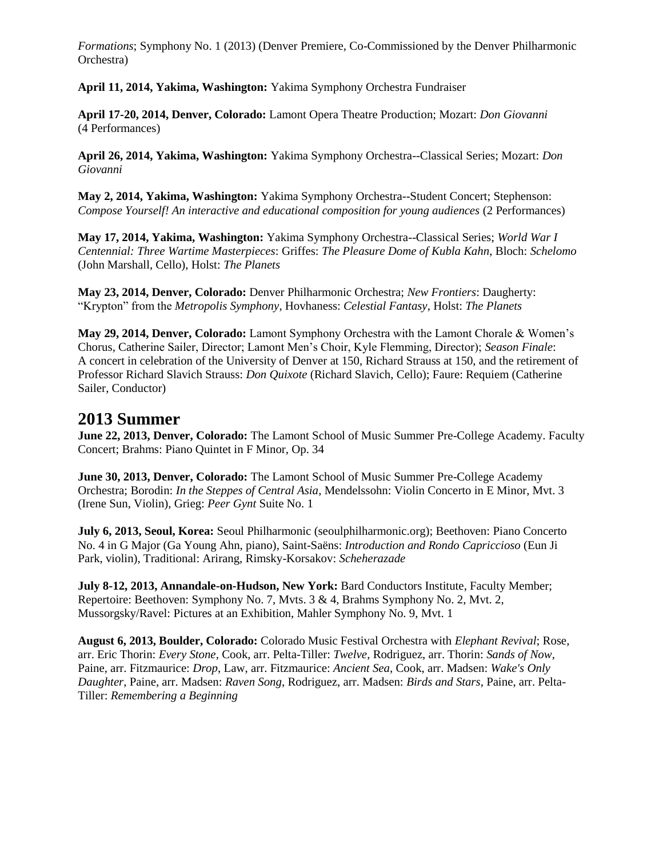*Formations*; Symphony No. 1 (2013) (Denver Premiere, Co-Commissioned by the Denver Philharmonic Orchestra)

**April 11, 2014, Yakima, Washington:** Yakima Symphony Orchestra Fundraiser

**April 17-20, 2014, Denver, Colorado:** Lamont Opera Theatre Production; Mozart: *Don Giovanni* (4 Performances)

**April 26, 2014, Yakima, Washington:** Yakima Symphony Orchestra--Classical Series; Mozart: *Don Giovanni*

**May 2, 2014, Yakima, Washington:** Yakima Symphony Orchestra--Student Concert; Stephenson: *Compose Yourself! An interactive and educational composition for young audiences* (2 Performances)

**May 17, 2014, Yakima, Washington:** Yakima Symphony Orchestra--Classical Series; *World War I Centennial: Three Wartime Masterpieces*: Griffes: *The Pleasure Dome of Kubla Kahn*, Bloch: *Schelomo* (John Marshall, Cello), Holst: *The Planets*

**May 23, 2014, Denver, Colorado:** Denver Philharmonic Orchestra; *New Frontiers*: Daugherty: "Krypton" from the *Metropolis Symphony*, Hovhaness: *Celestial Fantasy*, Holst: *The Planets*

**May 29, 2014, Denver, Colorado:** Lamont Symphony Orchestra with the Lamont Chorale & Women's Chorus, Catherine Sailer, Director; Lamont Men's Choir, Kyle Flemming, Director); *Season Finale*: A concert in celebration of the University of Denver at 150, Richard Strauss at 150, and the retirement of Professor Richard Slavich Strauss: *Don Quixote* (Richard Slavich, Cello); Faure: Requiem (Catherine Sailer, Conductor)

#### **2013 Summer**

**June 22, 2013, Denver, Colorado:** The Lamont School of Music Summer Pre-College Academy. Faculty Concert; Brahms: Piano Quintet in F Minor, Op. 34

**June 30, 2013, Denver, Colorado:** The Lamont School of Music Summer Pre-College Academy Orchestra; Borodin: *In the Steppes of Central Asia*, Mendelssohn: Violin Concerto in E Minor, Mvt. 3 (Irene Sun, Violin), Grieg: *Peer Gynt* Suite No. 1

**July 6, 2013, Seoul, Korea:** Seoul Philharmonic (seoulphilharmonic.org); Beethoven: Piano Concerto No. 4 in G Major (Ga Young Ahn, piano), Saint-Saëns: *Introduction and Rondo Capriccioso* (Eun Ji Park, violin), Traditional: Arirang, Rimsky-Korsakov: *Scheherazade*

**July 8-12, 2013, Annandale-on-Hudson, New York:** Bard Conductors Institute, Faculty Member; Repertoire: Beethoven: Symphony No. 7, Mvts. 3 & 4, Brahms Symphony No. 2, Mvt. 2, Mussorgsky/Ravel: Pictures at an Exhibition, Mahler Symphony No. 9, Mvt. 1

**August 6, 2013, Boulder, Colorado:** Colorado Music Festival Orchestra with *Elephant Revival*; Rose, arr. Eric Thorin: *Every Stone*, Cook, arr. Pelta-Tiller: *Twelve*, Rodriguez, arr. Thorin: *Sands of Now*, Paine, arr. Fitzmaurice: *Drop*, Law, arr. Fitzmaurice: *Ancient Sea*, Cook, arr. Madsen: *Wake's Only Daughter*, Paine, arr. Madsen: *Raven Song*, Rodriguez, arr. Madsen: *Birds and Stars*, Paine, arr. Pelta-Tiller: *Remembering a Beginning*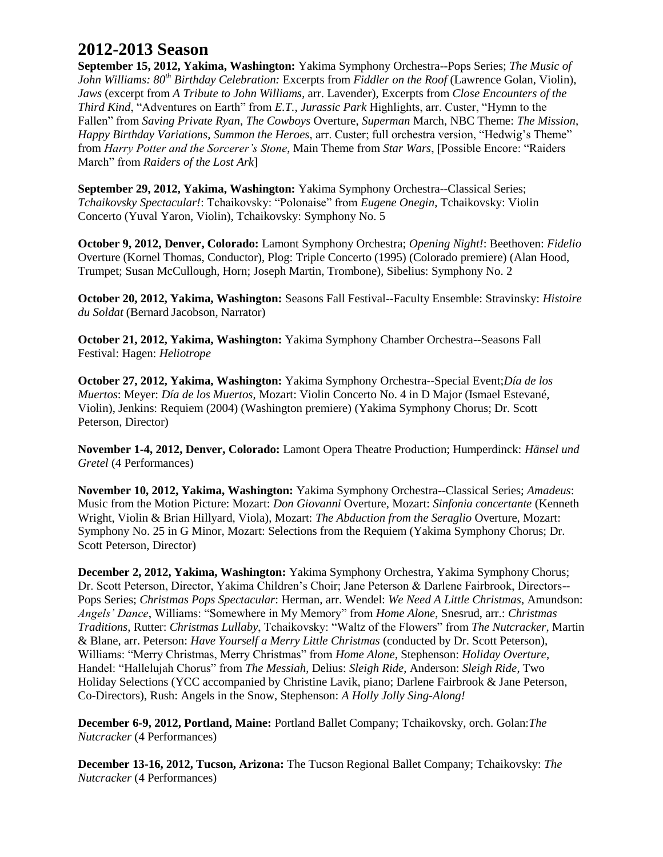## **2012-2013 Season**

**September 15, 2012, Yakima, Washington:** Yakima Symphony Orchestra--Pops Series; *The Music of John Williams: 80th Birthday Celebration:* Excerpts from *Fiddler on the Roof* (Lawrence Golan, Violin), *Jaws* (excerpt from *A Tribute to John Williams*, arr. Lavender), Excerpts from *Close Encounters of the Third Kind*, "Adventures on Earth" from *E.T.*, *Jurassic Park* Highlights, arr. Custer, "Hymn to the Fallen" from *Saving Private Ryan*, *The Cowboys* Overture, *Superman* March, NBC Theme: *The Mission*, *Happy Birthday Variations*, *Summon the Heroes*, arr. Custer; full orchestra version, "Hedwig's Theme" from *Harry Potter and the Sorcerer's Stone*, Main Theme from *Star Wars*, [Possible Encore: "Raiders March" from *Raiders of the Lost Ark*]

**September 29, 2012, Yakima, Washington:** Yakima Symphony Orchestra--Classical Series; *Tchaikovsky Spectacular!*: Tchaikovsky: "Polonaise" from *Eugene Onegin*, Tchaikovsky: Violin Concerto (Yuval Yaron, Violin), Tchaikovsky: Symphony No. 5

**October 9, 2012, Denver, Colorado:** Lamont Symphony Orchestra; *Opening Night!*: Beethoven: *Fidelio* Overture (Kornel Thomas, Conductor), Plog: Triple Concerto (1995) (Colorado premiere) (Alan Hood, Trumpet; Susan McCullough, Horn; Joseph Martin, Trombone), Sibelius: Symphony No. 2

**October 20, 2012, Yakima, Washington:** Seasons Fall Festival--Faculty Ensemble: Stravinsky: *Histoire du Soldat* (Bernard Jacobson, Narrator)

**October 21, 2012, Yakima, Washington:** Yakima Symphony Chamber Orchestra--Seasons Fall Festival: Hagen: *Heliotrope*

**October 27, 2012, Yakima, Washington:** Yakima Symphony Orchestra--Special Event;*Día de los Muertos*: Meyer: *Día de los Muertos*, Mozart: Violin Concerto No. 4 in D Major (Ismael Estevané, Violin), Jenkins: Requiem (2004) (Washington premiere) (Yakima Symphony Chorus; Dr. Scott Peterson, Director)

**November 1-4, 2012, Denver, Colorado:** Lamont Opera Theatre Production; Humperdinck: *Hänsel und Gretel* (4 Performances)

**November 10, 2012, Yakima, Washington:** Yakima Symphony Orchestra--Classical Series; *Amadeus*: Music from the Motion Picture: Mozart: *Don Giovanni* Overture, Mozart: *Sinfonia concertante* (Kenneth Wright, Violin & Brian Hillyard, Viola), Mozart: *The Abduction from the Seraglio* Overture, Mozart: Symphony No. 25 in G Minor, Mozart: Selections from the Requiem (Yakima Symphony Chorus; Dr. Scott Peterson, Director)

**December 2, 2012, Yakima, Washington:** Yakima Symphony Orchestra, Yakima Symphony Chorus; Dr. Scott Peterson, Director, Yakima Children's Choir; Jane Peterson & Darlene Fairbrook, Directors-- Pops Series; *Christmas Pops Spectacular*: Herman, arr. Wendel: *We Need A Little Christmas*, Amundson: *Angels' Dance*, Williams: "Somewhere in My Memory" from *Home Alone*, Snesrud, arr.: *Christmas Traditions*, Rutter: *Christmas Lullaby*, Tchaikovsky: "Waltz of the Flowers" from *The Nutcracker*, Martin & Blane, arr. Peterson: *Have Yourself a Merry Little Christmas* (conducted by Dr. Scott Peterson), Williams: "Merry Christmas, Merry Christmas" from *Home Alone*, Stephenson: *Holiday Overture*, Handel: "Hallelujah Chorus" from *The Messiah*, Delius: *Sleigh Ride*, Anderson: *Sleigh Ride*, Two Holiday Selections (YCC accompanied by Christine Lavik, piano; Darlene Fairbrook & Jane Peterson, Co-Directors), Rush: Angels in the Snow, Stephenson: *A Holly Jolly Sing-Along!*

**December 6-9, 2012, Portland, Maine:** Portland Ballet Company; Tchaikovsky, orch. Golan:*The Nutcracker* (4 Performances)

**December 13-16, 2012, Tucson, Arizona:** The Tucson Regional Ballet Company; Tchaikovsky: *The Nutcracker* (4 Performances)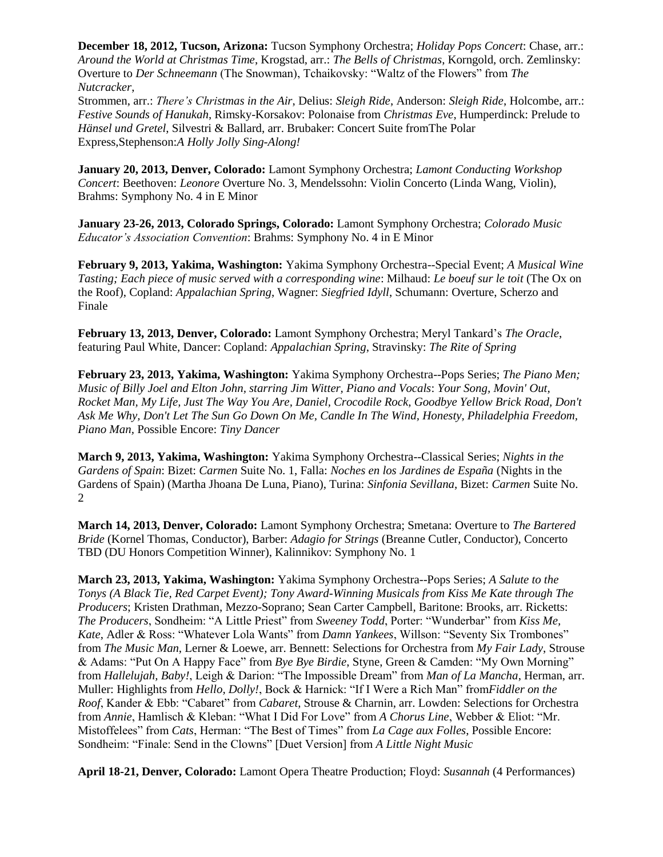**December 18, 2012, Tucson, Arizona:** Tucson Symphony Orchestra; *Holiday Pops Concert*: Chase, arr.: *Around the World at Christmas Time*, Krogstad, arr.: *The Bells of Christmas*, Korngold, orch. Zemlinsky: Overture to *Der Schneemann* (The Snowman), Tchaikovsky: "Waltz of the Flowers" from *The Nutcracker*,

Strommen, arr.: *There's Christmas in the Air*, Delius: *Sleigh Ride*, Anderson: *Sleigh Ride*, Holcombe, arr.: *Festive Sounds of Hanukah*, Rimsky-Korsakov: Polonaise from *Christmas Eve*, Humperdinck: Prelude to *Hänsel und Gretel*, Silvestri & Ballard, arr. Brubaker: Concert Suite fromThe Polar Express,Stephenson:*A Holly Jolly Sing-Along!*

**January 20, 2013, Denver, Colorado:** Lamont Symphony Orchestra; *Lamont Conducting Workshop Concert*: Beethoven: *Leonore* Overture No. 3, Mendelssohn: Violin Concerto (Linda Wang, Violin), Brahms: Symphony No. 4 in E Minor

**January 23-26, 2013, Colorado Springs, Colorado:** Lamont Symphony Orchestra; *Colorado Music Educator's Association Convention*: Brahms: Symphony No. 4 in E Minor

**February 9, 2013, Yakima, Washington:** Yakima Symphony Orchestra--Special Event; *A Musical Wine Tasting; Each piece of music served with a corresponding wine*: Milhaud: *Le boeuf sur le toit* (The Ox on the Roof), Copland: *Appalachian Spring*, Wagner: *Siegfried Idyll*, Schumann: Overture, Scherzo and Finale

**February 13, 2013, Denver, Colorado:** Lamont Symphony Orchestra; Meryl Tankard's *The Oracle*, featuring Paul White, Dancer: Copland: *Appalachian Spring*, Stravinsky: *The Rite of Spring*

**February 23, 2013, Yakima, Washington:** Yakima Symphony Orchestra--Pops Series; *The Piano Men; Music of Billy Joel and Elton John, starring Jim Witter, Piano and Vocals*: *Your Song, Movin' Out, Rocket Man, My Life, Just The Way You Are, Daniel, Crocodile Rock, Goodbye Yellow Brick Road, Don't Ask Me Why, Don't Let The Sun Go Down On Me, Candle In The Wind, Honesty, Philadelphia Freedom, Piano Man,* Possible Encore: *Tiny Dancer*

**March 9, 2013, Yakima, Washington:** Yakima Symphony Orchestra--Classical Series; *Nights in the Gardens of Spain*: Bizet: *Carmen* Suite No. 1, Falla: *Noches en los Jardines de España* (Nights in the Gardens of Spain) (Martha Jhoana De Luna, Piano), Turina: *Sinfonia Sevillana*, Bizet: *Carmen* Suite No. 2

**March 14, 2013, Denver, Colorado:** Lamont Symphony Orchestra; Smetana: Overture to *The Bartered Bride* (Kornel Thomas, Conductor), Barber: *Adagio for Strings* (Breanne Cutler, Conductor), Concerto TBD (DU Honors Competition Winner), Kalinnikov: Symphony No. 1

**March 23, 2013, Yakima, Washington:** Yakima Symphony Orchestra--Pops Series; *A Salute to the Tonys (A Black Tie, Red Carpet Event); Tony Award-Winning Musicals from Kiss Me Kate through The Producers*; Kristen Drathman, Mezzo-Soprano; Sean Carter Campbell, Baritone: Brooks, arr. Ricketts: *The Producers*, Sondheim: "A Little Priest" from *Sweeney Todd*, Porter: "Wunderbar" from *Kiss Me, Kate*, Adler & Ross: "Whatever Lola Wants" from *Damn Yankees*, Willson: "Seventy Six Trombones" from *The Music Man*, Lerner & Loewe, arr. Bennett: Selections for Orchestra from *My Fair Lady*, Strouse & Adams: "Put On A Happy Face" from *Bye Bye Birdie*, Styne, Green & Camden: "My Own Morning" from *Hallelujah, Baby!*, Leigh & Darion: "The Impossible Dream" from *Man of La Mancha*, Herman, arr. Muller: Highlights from *Hello, Dolly!*, Bock & Harnick: "If I Were a Rich Man" from*Fiddler on the Roof*, Kander & Ebb: "Cabaret" from *Cabaret*, Strouse & Charnin, arr. Lowden: Selections for Orchestra from *Annie*, Hamlisch & Kleban: "What I Did For Love" from *A Chorus Line*, Webber & Eliot: "Mr. Mistoffelees" from *Cats*, Herman: "The Best of Times" from *La Cage aux Folles*, Possible Encore: Sondheim: "Finale: Send in the Clowns" [Duet Version] from *A Little Night Music*

**April 18-21, Denver, Colorado:** Lamont Opera Theatre Production; Floyd: *Susannah* (4 Performances)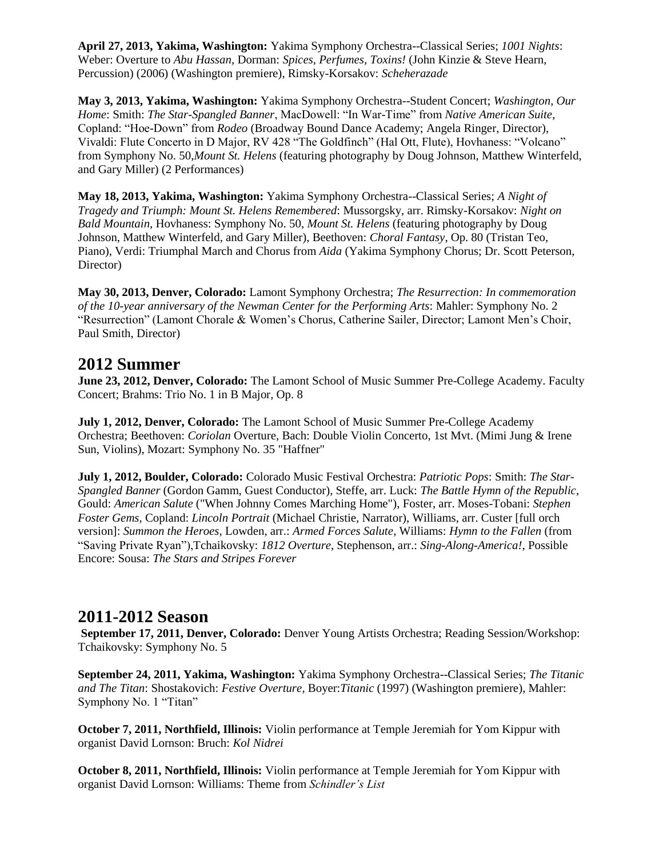**April 27, 2013, Yakima, Washington:** Yakima Symphony Orchestra--Classical Series; *1001 Nights*: Weber: Overture to *Abu Hassan*, Dorman: *Spices, Perfumes, Toxins!* (John Kinzie & Steve Hearn, Percussion) (2006) (Washington premiere), Rimsky-Korsakov: *Scheherazade*

**May 3, 2013, Yakima, Washington:** Yakima Symphony Orchestra--Student Concert; *Washington, Our Home*: Smith: *The Star-Spangled Banner*, MacDowell: "In War-Time" from *Native American Suite*, Copland: "Hoe-Down" from *Rodeo* (Broadway Bound Dance Academy; Angela Ringer, Director), Vivaldi: Flute Concerto in D Major, RV 428 "The Goldfinch" (Hal Ott, Flute), Hovhaness: "Volcano" from Symphony No. 50,*Mount St. Helens* (featuring photography by Doug Johnson, Matthew Winterfeld, and Gary Miller) (2 Performances)

**May 18, 2013, Yakima, Washington:** Yakima Symphony Orchestra--Classical Series; *A Night of Tragedy and Triumph: Mount St. Helens Remembered*: Mussorgsky, arr. Rimsky-Korsakov: *Night on Bald Mountain*, Hovhaness: Symphony No. 50, *Mount St. Helens* (featuring photography by Doug Johnson, Matthew Winterfeld, and Gary Miller), Beethoven: *Choral Fantasy*, Op. 80 (Tristan Teo, Piano), Verdi: Triumphal March and Chorus from *Aida* (Yakima Symphony Chorus; Dr. Scott Peterson, Director)

**May 30, 2013, Denver, Colorado:** Lamont Symphony Orchestra; *The Resurrection: In commemoration of the 10-year anniversary of the Newman Center for the Performing Arts*: Mahler: Symphony No. 2 "Resurrection" (Lamont Chorale & Women's Chorus, Catherine Sailer, Director; Lamont Men's Choir, Paul Smith, Director)

#### **2012 Summer**

**June 23, 2012, Denver, Colorado:** The Lamont School of Music Summer Pre-College Academy. Faculty Concert; Brahms: Trio No. 1 in B Major, Op. 8

**July 1, 2012, Denver, Colorado:** The Lamont School of Music Summer Pre-College Academy Orchestra; Beethoven: *Coriolan* Overture, Bach: Double Violin Concerto, 1st Mvt. (Mimi Jung & Irene Sun, Violins), Mozart: Symphony No. 35 "Haffner"

**July 1, 2012, Boulder, Colorado:** Colorado Music Festival Orchestra: *Patriotic Pops*: Smith: *The Star-Spangled Banner* (Gordon Gamm, Guest Conductor), Steffe, arr. Luck: *The Battle Hymn of the Republic*, Gould: *American Salute* ("When Johnny Comes Marching Home"), Foster, arr. Moses-Tobani: *Stephen Foster Gems*, Copland: *Lincoln Portrait* (Michael Christie, Narrator), Williams, arr. Custer [full orch version]: *Summon the Heroes*, Lowden, arr.: *Armed Forces Salute*, Williams: *Hymn to the Fallen* (from "Saving Private Ryan"),Tchaikovsky: *1812 Overture*, Stephenson, arr.: *Sing-Along-America!*, Possible Encore: Sousa: *The Stars and Stripes Forever*

## **2011-2012 Season**

**September 17, 2011, Denver, Colorado:** Denver Young Artists Orchestra; Reading Session/Workshop: Tchaikovsky: Symphony No. 5

**September 24, 2011, Yakima, Washington:** Yakima Symphony Orchestra--Classical Series; *The Titanic and The Titan*: Shostakovich: *Festive Overture*, Boyer:*Titanic* (1997) (Washington premiere), Mahler: Symphony No. 1 "Titan"

**October 7, 2011, Northfield, Illinois:** Violin performance at Temple Jeremiah for Yom Kippur with organist David Lornson: Bruch: *Kol Nidrei*

**October 8, 2011, Northfield, Illinois:** Violin performance at Temple Jeremiah for Yom Kippur with organist David Lornson: Williams: Theme from *Schindler's List*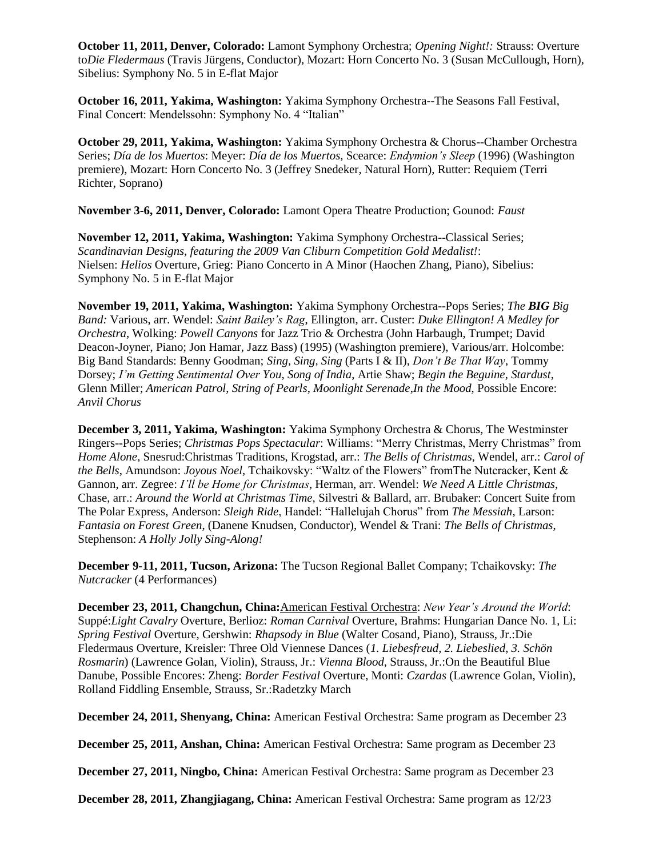**October 11, 2011, Denver, Colorado:** Lamont Symphony Orchestra; *Opening Night!:* Strauss: Overture to*Die Fledermaus* (Travis Jürgens, Conductor), Mozart: Horn Concerto No. 3 (Susan McCullough, Horn), Sibelius: Symphony No. 5 in E-flat Major

**October 16, 2011, Yakima, Washington:** Yakima Symphony Orchestra--The Seasons Fall Festival, Final Concert: Mendelssohn: Symphony No. 4 "Italian"

**October 29, 2011, Yakima, Washington:** Yakima Symphony Orchestra & Chorus--Chamber Orchestra Series; *Día de los Muertos*: Meyer: *Día de los Muertos*, Scearce: *Endymion's Sleep* (1996) (Washington premiere), Mozart: Horn Concerto No. 3 (Jeffrey Snedeker, Natural Horn), Rutter: Requiem (Terri Richter, Soprano)

**November 3-6, 2011, Denver, Colorado:** Lamont Opera Theatre Production; Gounod: *Faust*

**November 12, 2011, Yakima, Washington:** Yakima Symphony Orchestra--Classical Series; *Scandinavian Designs, featuring the 2009 Van Cliburn Competition Gold Medalist!*: Nielsen: *Helios* Overture, Grieg: Piano Concerto in A Minor (Haochen Zhang, Piano), Sibelius: Symphony No. 5 in E-flat Major

**November 19, 2011, Yakima, Washington:** Yakima Symphony Orchestra--Pops Series; *The BIG Big Band:* Various, arr. Wendel: *Saint Bailey's Rag*, Ellington, arr. Custer: *Duke Ellington! A Medley for Orchestra*, Wolking: *Powell Canyons* for Jazz Trio & Orchestra (John Harbaugh, Trumpet; David Deacon-Joyner, Piano; Jon Hamar, Jazz Bass) (1995) (Washington premiere), Various/arr. Holcombe: Big Band Standards: Benny Goodman; *Sing, Sing, Sing* (Parts I & II), *Don't Be That Way*, Tommy Dorsey; *I'm Getting Sentimental Over You*, *Song of India*, Artie Shaw; *Begin the Beguine*, *Stardust*, Glenn Miller; *American Patrol*, *String of Pearls*, *Moonlight Serenade*,*In the Mood*, Possible Encore: *Anvil Chorus*

**December 3, 2011, Yakima, Washington:** Yakima Symphony Orchestra & Chorus, The Westminster Ringers--Pops Series; *Christmas Pops Spectacular*: Williams: "Merry Christmas, Merry Christmas" from *Home Alone*, Snesrud:Christmas Traditions, Krogstad, arr.: *The Bells of Christmas*, Wendel, arr.: *Carol of the Bells*, Amundson: *Joyous Noel*, Tchaikovsky: "Waltz of the Flowers" fromThe Nutcracker, Kent & Gannon, arr. Zegree: *I'll be Home for Christmas*, Herman, arr. Wendel: *We Need A Little Christmas*, Chase, arr.: *Around the World at Christmas Time,* Silvestri & Ballard, arr. Brubaker: Concert Suite from The Polar Express, Anderson: *Sleigh Ride*, Handel: "Hallelujah Chorus" from *The Messiah*, Larson: *Fantasia on Forest Green*, (Danene Knudsen, Conductor), Wendel & Trani: *The Bells of Christmas*, Stephenson: *A Holly Jolly Sing-Along!*

**December 9-11, 2011, Tucson, Arizona:** The Tucson Regional Ballet Company; Tchaikovsky: *The Nutcracker* (4 Performances)

**December 23, 2011, Changchun, China:**[American Festival Orchestra:](http://www.afomusic.org/) *New Year's Around the World*: Suppé:*Light Cavalry* Overture, Berlioz: *Roman Carnival* Overture, Brahms: Hungarian Dance No. 1, Li: *Spring Festival* Overture, Gershwin: *Rhapsody in Blue* (Walter Cosand, Piano), Strauss, Jr.:Die Fledermaus Overture, Kreisler: Three Old Viennese Dances (*1. Liebesfreud, 2. Liebeslied, 3. Schön Rosmarin*) (Lawrence Golan, Violin), Strauss, Jr.: *Vienna Blood*, Strauss, Jr.:On the Beautiful Blue Danube, Possible Encores: Zheng: *Border Festival* Overture, Monti: *Czardas* (Lawrence Golan, Violin), Rolland Fiddling Ensemble, Strauss, Sr.:Radetzky March

**December 24, 2011, Shenyang, China:** American Festival Orchestra: Same program as December 23

**December 25, 2011, Anshan, China:** American Festival Orchestra: Same program as December 23

**December 27, 2011, Ningbo, China:** American Festival Orchestra: Same program as December 23

**December 28, 2011, Zhangjiagang, China:** American Festival Orchestra: Same program as 12/23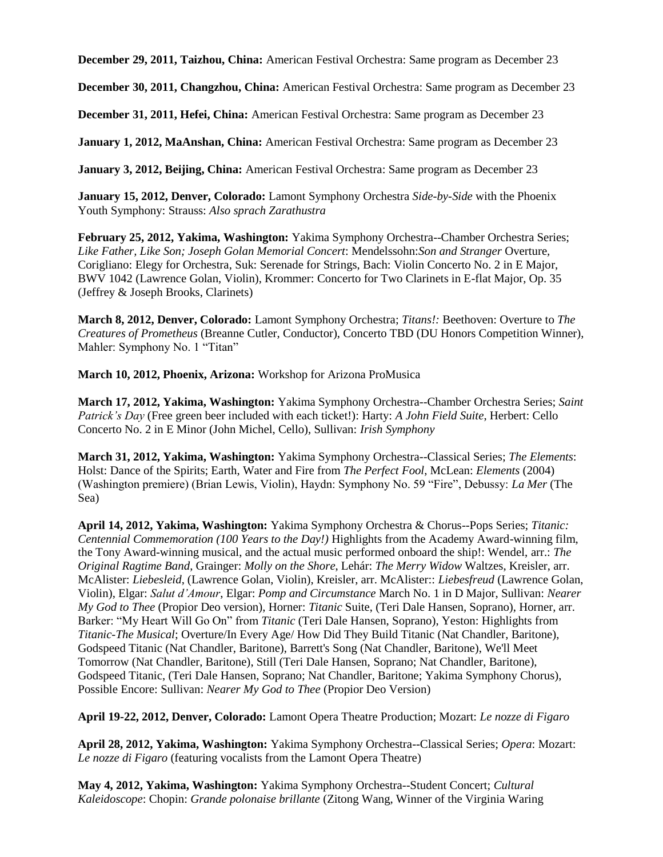**December 29, 2011, Taizhou, China:** American Festival Orchestra: Same program as December 23

**December 30, 2011, Changzhou, China:** American Festival Orchestra: Same program as December 23

**December 31, 2011, Hefei, China:** American Festival Orchestra: Same program as December 23

**January 1, 2012, MaAnshan, China:** American Festival Orchestra: Same program as December 23

**January 3, 2012, Beijing, China:** American Festival Orchestra: Same program as December 23

**January 15, 2012, Denver, Colorado:** Lamont Symphony Orchestra *Side-by-Side* with the Phoenix Youth Symphony: Strauss: *Also sprach Zarathustra*

**February 25, 2012, Yakima, Washington:** Yakima Symphony Orchestra--Chamber Orchestra Series; *Like Father, Like Son; Joseph Golan Memorial Concert*: Mendelssohn:*Son and Stranger* Overture*,*  Corigliano: Elegy for Orchestra, Suk: Serenade for Strings, Bach: Violin Concerto No. 2 in E Major, BWV 1042 (Lawrence Golan, Violin), Krommer: Concerto for Two Clarinets in E-flat Major, Op. 35 (Jeffrey & Joseph Brooks, Clarinets)

**March 8, 2012, Denver, Colorado:** Lamont Symphony Orchestra; *Titans!:* Beethoven: Overture to *The Creatures of Prometheus* (Breanne Cutler, Conductor), Concerto TBD (DU Honors Competition Winner), Mahler: Symphony No. 1 "Titan"

**March 10, 2012, Phoenix, Arizona:** Workshop for Arizona ProMusica

**March 17, 2012, Yakima, Washington:** Yakima Symphony Orchestra--Chamber Orchestra Series; *Saint Patrick's Day* (Free green beer included with each ticket!): Harty: *A John Field Suite*, Herbert: Cello Concerto No. 2 in E Minor (John Michel, Cello), Sullivan: *Irish Symphony*

**March 31, 2012, Yakima, Washington:** Yakima Symphony Orchestra--Classical Series; *The Elements*: Holst: Dance of the Spirits; Earth, Water and Fire from *The Perfect Fool*, McLean: *Elements* (2004) (Washington premiere) (Brian Lewis, Violin), Haydn: Symphony No. 59 "Fire", Debussy: *La Mer* (The Sea)

**April 14, 2012, Yakima, Washington:** Yakima Symphony Orchestra & Chorus--Pops Series; *Titanic: Centennial Commemoration (100 Years to the Day!)* Highlights from the Academy Award-winning film, the Tony Award-winning musical, and the actual music performed onboard the ship!: Wendel, arr.: *The Original Ragtime Band*, Grainger: *Molly on the Shore*, Lehár: *The Merry Widow* Waltzes, Kreisler, arr. McAlister: *Liebesleid*, (Lawrence Golan, Violin), Kreisler, arr. McAlister:: *Liebesfreud* (Lawrence Golan, Violin), Elgar: *Salut d'Amour*, Elgar: *Pomp and Circumstance* March No. 1 in D Major, Sullivan: *Nearer My God to Thee* (Propior Deo version), Horner: *Titanic* Suite, (Teri Dale Hansen, Soprano), Horner, arr. Barker: "My Heart Will Go On" from *Titanic* (Teri Dale Hansen, Soprano), Yeston: Highlights from *Titanic-The Musical*; Overture/In Every Age/ How Did They Build Titanic (Nat Chandler, Baritone), Godspeed Titanic (Nat Chandler, Baritone), Barrett's Song (Nat Chandler, Baritone), We'll Meet Tomorrow (Nat Chandler, Baritone), Still (Teri Dale Hansen, Soprano; Nat Chandler, Baritone), Godspeed Titanic, (Teri Dale Hansen, Soprano; Nat Chandler, Baritone; Yakima Symphony Chorus), Possible Encore: Sullivan: *Nearer My God to Thee* (Propior Deo Version)

**April 19-22, 2012, Denver, Colorado:** Lamont Opera Theatre Production; Mozart: *Le nozze di Figaro*

**April 28, 2012, Yakima, Washington:** Yakima Symphony Orchestra--Classical Series; *Opera*: Mozart: *Le nozze di Figaro* (featuring vocalists from the Lamont Opera Theatre)

**May 4, 2012, Yakima, Washington:** Yakima Symphony Orchestra--Student Concert; *Cultural Kaleidoscope*: Chopin: *Grande polonaise brillante* (Zitong Wang, Winner of the Virginia Waring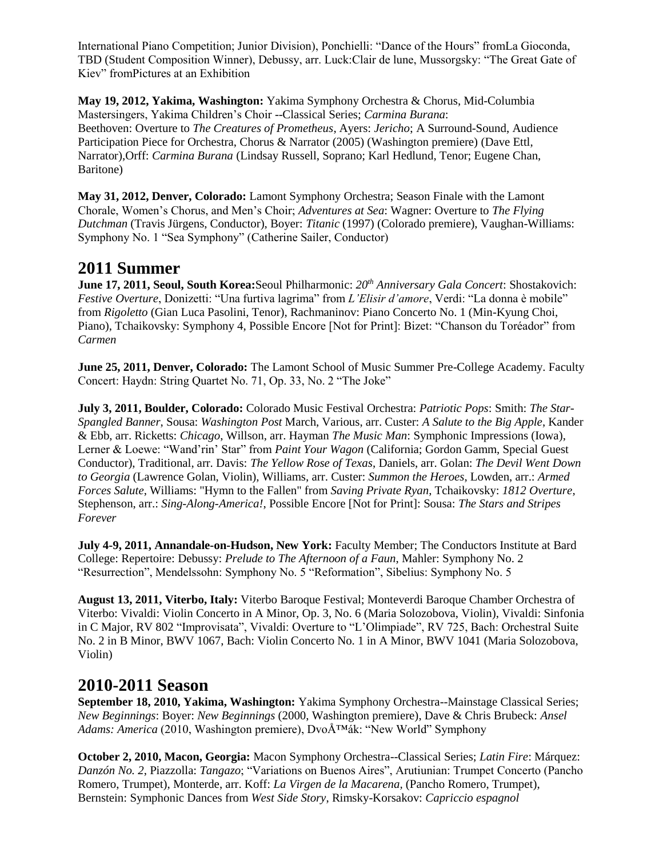International Piano Competition; Junior Division), Ponchielli: "Dance of the Hours" fromLa Gioconda, TBD (Student Composition Winner), Debussy, arr. Luck:Clair de lune, Mussorgsky: "The Great Gate of Kiev" fromPictures at an Exhibition

**May 19, 2012, Yakima, Washington:** Yakima Symphony Orchestra & Chorus, Mid-Columbia Mastersingers, Yakima Children's Choir --Classical Series; *Carmina Burana*: Beethoven: Overture to *The Creatures of Prometheus*, Ayers: *Jericho*; A Surround-Sound, Audience Participation Piece for Orchestra, Chorus & Narrator (2005) (Washington premiere) (Dave Ettl, Narrator),Orff: *Carmina Burana* (Lindsay Russell, Soprano; Karl Hedlund, Tenor; Eugene Chan, Baritone)

**May 31, 2012, Denver, Colorado:** Lamont Symphony Orchestra; Season Finale with the Lamont Chorale, Women's Chorus, and Men's Choir; *Adventures at Sea*: Wagner: Overture to *The Flying Dutchman* (Travis Jürgens, Conductor), Boyer: *Titanic* (1997) (Colorado premiere), Vaughan-Williams: Symphony No. 1 "Sea Symphony" (Catherine Sailer, Conductor)

## **2011 Summer**

**June 17, 2011, Seoul, South Korea:**Seoul Philharmonic: *20th Anniversary Gala Concert*: Shostakovich: *Festive Overture*, Donizetti: "Una furtiva lagrima" from *L'Elisir d'amore*, Verdi: "La donna è mobile" from *Rigoletto* (Gian Luca Pasolini, Tenor), Rachmaninov: Piano Concerto No. 1 (Min-Kyung Choi, Piano), Tchaikovsky: Symphony 4, Possible Encore [Not for Print]: Bizet: "Chanson du Toréador" from *Carmen*

**June 25, 2011, Denver, Colorado:** The Lamont School of Music Summer Pre-College Academy. Faculty Concert: Haydn: String Quartet No. 71, Op. 33, No. 2 "The Joke"

**July 3, 2011, Boulder, Colorado:** Colorado Music Festival Orchestra: *Patriotic Pops*: Smith: *The Star-Spangled Banner*, Sousa: *Washington Post* March, Various, arr. Custer: *A Salute to the Big Apple*, Kander & Ebb, arr. Ricketts: *Chicago*, Willson, arr. Hayman *The Music Man*: Symphonic Impressions (Iowa), Lerner & Loewe: "Wand'rin' Star" from *Paint Your Wagon* (California; Gordon Gamm, Special Guest Conductor), Traditional, arr. Davis: *The Yellow Rose of Texas*, Daniels, arr. Golan: *The Devil Went Down to Georgia* (Lawrence Golan, Violin), Williams, arr. Custer: *Summon the Heroes*, Lowden, arr.: *Armed Forces Salute*, Williams: "Hymn to the Fallen" from *Saving Private Ryan*, Tchaikovsky: *1812 Overture*, Stephenson, arr.: *Sing-Along-America!*, Possible Encore [Not for Print]: Sousa: *The Stars and Stripes Forever*

**July 4-9, 2011, Annandale-on-Hudson, New York:** Faculty Member; The Conductors Institute at Bard College: Repertoire: Debussy: *Prelude to The Afternoon of a Faun*, Mahler: Symphony No. 2 "Resurrection", Mendelssohn: Symphony No. 5 "Reformation", Sibelius: Symphony No. 5

**August 13, 2011, Viterbo, Italy:** Viterbo Baroque Festival; Monteverdi Baroque Chamber Orchestra of Viterbo: Vivaldi: Violin Concerto in A Minor, Op. 3, No. 6 (Maria Solozobova, Violin), Vivaldi: Sinfonia in C Major, RV 802 "Improvisata", Vivaldi: Overture to "L'Olimpiade", RV 725, Bach: Orchestral Suite No. 2 in B Minor, BWV 1067, Bach: Violin Concerto No. 1 in A Minor, BWV 1041 (Maria Solozobova, Violin)

## **2010-2011 Season**

**September 18, 2010, Yakima, Washington:** Yakima Symphony Orchestra--Mainstage Classical Series; *New Beginnings*: Boyer: *New Beginnings* (2000, Washington premiere), Dave & Chris Brubeck: *Ansel Adams: America* (2010, Washington premiere), DvoÅ™ák: "New World" Symphony

**October 2, 2010, Macon, Georgia:** Macon Symphony Orchestra--Classical Series; *Latin Fire*: Márquez: *Danzón No. 2*, Piazzolla: *Tangazo*; "Variations on Buenos Aires", Arutiunian: Trumpet Concerto (Pancho Romero, Trumpet), Monterde, arr. Koff: *La Virgen de la Macarena,* (Pancho Romero, Trumpet), Bernstein: Symphonic Dances from *West Side Story*, Rimsky-Korsakov: *Capriccio espagnol*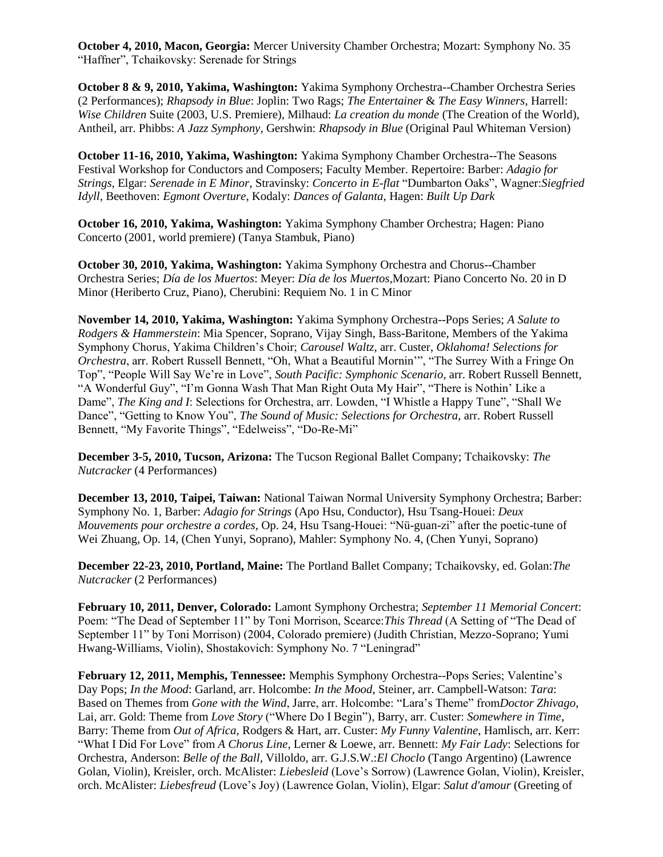**October 4, 2010, Macon, Georgia:** Mercer University Chamber Orchestra; Mozart: Symphony No. 35 "Haffner", Tchaikovsky: Serenade for Strings

**October 8 & 9, 2010, Yakima, Washington:** Yakima Symphony Orchestra--Chamber Orchestra Series (2 Performances); *Rhapsody in Blue*: Joplin: Two Rags; *The Entertainer* & *The Easy Winners*, Harrell: *Wise Children* Suite (2003, U.S. Premiere), Milhaud: *La creation du monde* (The Creation of the World), Antheil, arr. Phibbs: *A Jazz Symphony*, Gershwin: *Rhapsody in Blue* (Original Paul Whiteman Version)

**October 11-16, 2010, Yakima, Washington:** Yakima Symphony Chamber Orchestra--The Seasons Festival Workshop for Conductors and Composers; Faculty Member. Repertoire: Barber: *Adagio for Strings,* Elgar: *Serenade in E Minor*, Stravinsky: *Concerto in E-flat* "Dumbarton Oaks", Wagner:*Siegfried Idyll,* Beethoven: *Egmont Overture*, Kodaly: *Dances of Galanta,* Hagen: *Built Up Dark*

**October 16, 2010, Yakima, Washington:** Yakima Symphony Chamber Orchestra; Hagen: Piano Concerto (2001, world premiere) (Tanya Stambuk, Piano)

**October 30, 2010, Yakima, Washington:** Yakima Symphony Orchestra and Chorus--Chamber Orchestra Series; *Día de los Muertos*: Meyer: *Día de los Muertos,*Mozart: Piano Concerto No. 20 in D Minor (Heriberto Cruz, Piano), Cherubini: Requiem No. 1 in C Minor

**November 14, 2010, Yakima, Washington:** Yakima Symphony Orchestra--Pops Series; *A Salute to Rodgers & Hammerstein*: Mia Spencer, Soprano, Vijay Singh, Bass-Baritone, Members of the Yakima Symphony Chorus, Yakima Children's Choir; *Carousel Waltz,* arr. Custer, *Oklahoma! Selections for Orchestra*, arr. Robert Russell Bennett, "Oh, What a Beautiful Mornin'", "The Surrey With a Fringe On Top", "People Will Say We're in Love", *South Pacific: Symphonic Scenario*, arr. Robert Russell Bennett, "A Wonderful Guy", "I'm Gonna Wash That Man Right Outa My Hair", "There is Nothin' Like a Dame", *The King and I*: Selections for Orchestra, arr. Lowden, "I Whistle a Happy Tune", "Shall We Dance", "Getting to Know You", *The Sound of Music: Selections for Orchestra*, arr. Robert Russell Bennett, "My Favorite Things", "Edelweiss", "Do-Re-Mi"

**December 3-5, 2010, Tucson, Arizona:** The Tucson Regional Ballet Company; Tchaikovsky: *The Nutcracker* (4 Performances)

**December 13, 2010, Taipei, Taiwan:** National Taiwan Normal University Symphony Orchestra; Barber: Symphony No. 1, Barber: *Adagio for Strings* (Apo Hsu, Conductor), Hsu Tsang-Houei: *Deux Mouvements pour orchestre a cordes*, Op. 24, Hsu Tsang-Houei: "Nü-guan-zi" after the poetic-tune of Wei Zhuang, Op. 14, (Chen Yunyi, Soprano), Mahler: Symphony No. 4, (Chen Yunyi, Soprano)

**December 22-23, 2010, Portland, Maine:** The Portland Ballet Company; Tchaikovsky, ed. Golan:*The Nutcracker* (2 Performances)

**February 10, 2011, Denver, Colorado:** Lamont Symphony Orchestra; *September 11 Memorial Concert*: Poem: "The Dead of September 11" by Toni Morrison, Scearce:*This Thread* (A Setting of "The Dead of September 11" by Toni Morrison) (2004, Colorado premiere) (Judith Christian, Mezzo-Soprano; Yumi Hwang-Williams, Violin), Shostakovich: Symphony No. 7 "Leningrad"

**February 12, 2011, Memphis, Tennessee:** Memphis Symphony Orchestra--Pops Series; Valentine's Day Pops; *In the Mood*: Garland, arr. Holcombe: *In the Mood*, Steiner, arr. Campbell-Watson: *Tara*: Based on Themes from *Gone with the Wind*, Jarre, arr. Holcombe: "Lara's Theme" from*Doctor Zhivago*, Lai, arr. Gold: Theme from *Love Story* ("Where Do I Begin"), Barry, arr. Custer: *Somewhere in Time*, Barry: Theme from *Out of Africa*, Rodgers & Hart, arr. Custer: *My Funny Valentine*, Hamlisch, arr. Kerr: "What I Did For Love" from *A Chorus Line*, Lerner & Loewe, arr. Bennett: *My Fair Lady*: Selections for Orchestra, Anderson: *Belle of the Ball*, Villoldo, arr. G.J.S.W.:*El Choclo* (Tango Argentino) (Lawrence Golan, Violin), Kreisler, orch. McAlister: *Liebesleid* (Love's Sorrow) (Lawrence Golan, Violin), Kreisler, orch. McAlister: *Liebesfreud* (Love's Joy) (Lawrence Golan, Violin), Elgar: *Salut d'amour* (Greeting of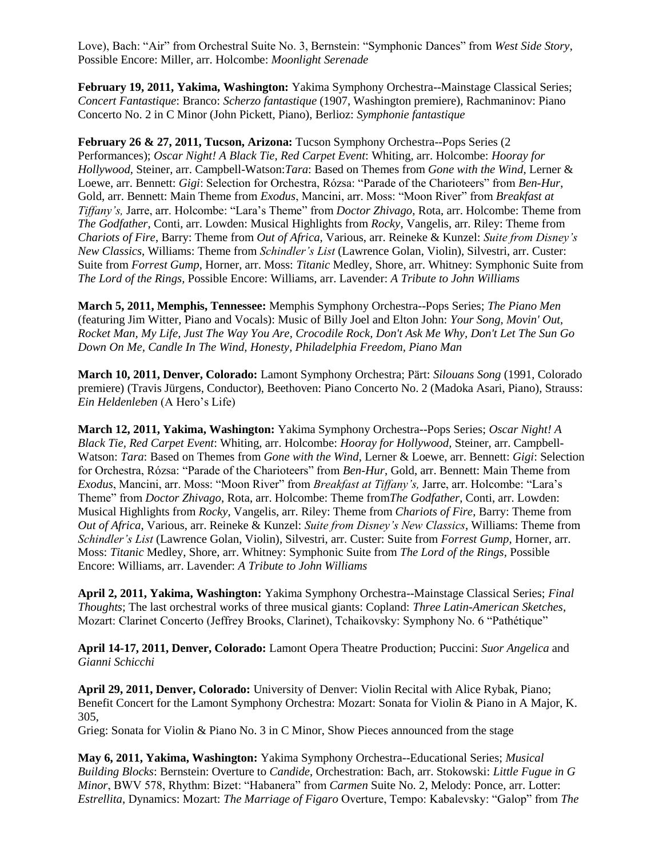Love), Bach: "Air" from Orchestral Suite No. 3, Bernstein: "Symphonic Dances" from *West Side Story*, Possible Encore: Miller, arr. Holcombe: *Moonlight Serenade*

**February 19, 2011, Yakima, Washington:** Yakima Symphony Orchestra--Mainstage Classical Series; *Concert Fantastique*: Branco: *Scherzo fantastique* (1907, Washington premiere), Rachmaninov: Piano Concerto No. 2 in C Minor (John Pickett, Piano), Berlioz: *Symphonie fantastique*

**February 26 & 27, 2011, Tucson, Arizona:** Tucson Symphony Orchestra--Pops Series (2 Performances); *Oscar Night! A Black Tie, Red Carpet Event*: Whiting, arr. Holcombe: *Hooray for Hollywood,* Steiner, arr. Campbell-Watson:*Tara*: Based on Themes from *Gone with the Wind*, Lerner & Loewe, arr. Bennett: *Gigi*: Selection for Orchestra, Rózsa: "Parade of the Charioteers" from *Ben-Hur*, Gold, arr. Bennett: Main Theme from *Exodus*, Mancini, arr. Moss: "Moon River" from *Breakfast at Tiffany's,* Jarre, arr. Holcombe: "Lara's Theme" from *Doctor Zhivago*, Rota, arr. Holcombe: Theme from *The Godfather*, Conti, arr. Lowden: Musical Highlights from *Rocky*, Vangelis, arr. Riley: Theme from *Chariots of Fire*, Barry: Theme from *Out of Africa*, Various, arr. Reineke & Kunzel: *Suite from Disney's New Classics*, Williams: Theme from *Schindler's List* (Lawrence Golan, Violin), Silvestri, arr. Custer: Suite from *Forrest Gump*, Horner, arr. Moss: *Titanic* Medley, Shore, arr. Whitney: Symphonic Suite from *The Lord of the Rings,* Possible Encore: Williams, arr. Lavender: *A Tribute to John Williams*

**March 5, 2011, Memphis, Tennessee:** Memphis Symphony Orchestra--Pops Series; *The Piano Men* (featuring Jim Witter, Piano and Vocals): Music of Billy Joel and Elton John: *Your Song, Movin' Out, Rocket Man, My Life, Just The Way You Are, Crocodile Rock, Don't Ask Me Why, Don't Let The Sun Go Down On Me, Candle In The Wind, Honesty, Philadelphia Freedom, Piano Man*

**March 10, 2011, Denver, Colorado:** Lamont Symphony Orchestra; Pärt: *Silouans Song* (1991, Colorado premiere) (Travis Jürgens, Conductor), Beethoven: Piano Concerto No. 2 (Madoka Asari, Piano), Strauss: *Ein Heldenleben* (A Hero's Life)

**March 12, 2011, Yakima, Washington:** Yakima Symphony Orchestra--Pops Series; *Oscar Night! A Black Tie, Red Carpet Event*: Whiting, arr. Holcombe: *Hooray for Hollywood,* Steiner, arr. Campbell-Watson: *Tara*: Based on Themes from *Gone with the Wind*, Lerner & Loewe, arr. Bennett: *Gigi*: Selection for Orchestra, Rózsa: "Parade of the Charioteers" from *Ben-Hur*, Gold, arr. Bennett: Main Theme from *Exodus*, Mancini, arr. Moss: "Moon River" from *Breakfast at Tiffany's,* Jarre, arr. Holcombe: "Lara's Theme" from *Doctor Zhivago*, Rota, arr. Holcombe: Theme from*The Godfather*, Conti, arr. Lowden: Musical Highlights from *Rocky*, Vangelis, arr. Riley: Theme from *Chariots of Fire*, Barry: Theme from *Out of Africa*, Various, arr. Reineke & Kunzel: *Suite from Disney's New Classics*, Williams: Theme from *Schindler's List* (Lawrence Golan, Violin), Silvestri, arr. Custer: Suite from *Forrest Gump*, Horner, arr. Moss: *Titanic* Medley, Shore, arr. Whitney: Symphonic Suite from *The Lord of the Rings,* Possible Encore: Williams, arr. Lavender: *A Tribute to John Williams*

**April 2, 2011, Yakima, Washington:** Yakima Symphony Orchestra--Mainstage Classical Series; *Final Thoughts*; The last orchestral works of three musical giants: Copland: *Three Latin-American Sketches*, Mozart: Clarinet Concerto (Jeffrey Brooks, Clarinet), Tchaikovsky: Symphony No. 6 "Pathétique"

**April 14-17, 2011, Denver, Colorado:** Lamont Opera Theatre Production; Puccini: *Suor Angelica* and *Gianni Schicchi*

**April 29, 2011, Denver, Colorado:** University of Denver: Violin Recital with Alice Rybak, Piano; Benefit Concert for the Lamont Symphony Orchestra: Mozart: Sonata for Violin & Piano in A Major, K. 305,

Grieg: Sonata for Violin & Piano No. 3 in C Minor, Show Pieces announced from the stage

**May 6, 2011, Yakima, Washington:** Yakima Symphony Orchestra--Educational Series; *Musical Building Blocks*: Bernstein: Overture to *Candide*, Orchestration: Bach, arr. Stokowski: *Little Fugue in G Minor*, BWV 578, Rhythm: Bizet: "Habanera" from *Carmen* Suite No. 2, Melody: Ponce, arr. Lotter: *Estrellita*, Dynamics: Mozart: *The Marriage of Figaro* Overture, Tempo: Kabalevsky: "Galop" from *The*